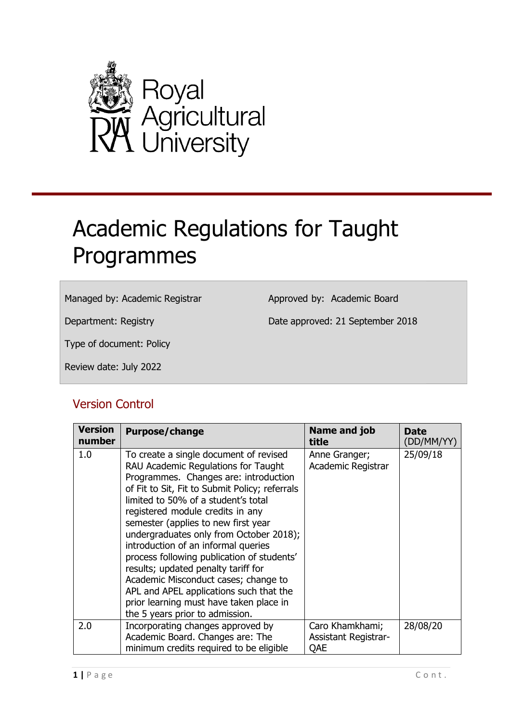

# <span id="page-0-0"></span>Academic Regulations for Taught Programmes

#### Managed by: Academic Registrar

Approved by: Academic Board

Department: Registry

Date approved: 21 September 2018

Type of document: Policy

Review date: July 2022

### Version Control

| <b>Version</b><br>number | Purpose/change                                                                                                                                                                                                                                                                                                                                                                                                                                                                                                                                                                                                                     | Name and job<br>title                                 | Date<br>(DD/MM/YY) |
|--------------------------|------------------------------------------------------------------------------------------------------------------------------------------------------------------------------------------------------------------------------------------------------------------------------------------------------------------------------------------------------------------------------------------------------------------------------------------------------------------------------------------------------------------------------------------------------------------------------------------------------------------------------------|-------------------------------------------------------|--------------------|
| 1.0                      | To create a single document of revised<br>RAU Academic Regulations for Taught<br>Programmes. Changes are: introduction<br>of Fit to Sit, Fit to Submit Policy; referrals<br>limited to 50% of a student's total<br>registered module credits in any<br>semester (applies to new first year<br>undergraduates only from October 2018);<br>introduction of an informal queries<br>process following publication of students'<br>results; updated penalty tariff for<br>Academic Misconduct cases; change to<br>APL and APEL applications such that the<br>prior learning must have taken place in<br>the 5 years prior to admission. | Anne Granger;<br>Academic Registrar                   | 25/09/18           |
| 2.0                      | Incorporating changes approved by<br>Academic Board. Changes are: The<br>minimum credits required to be eligible                                                                                                                                                                                                                                                                                                                                                                                                                                                                                                                   | Caro Khamkhami;<br><b>Assistant Registrar-</b><br>QAE | 28/08/20           |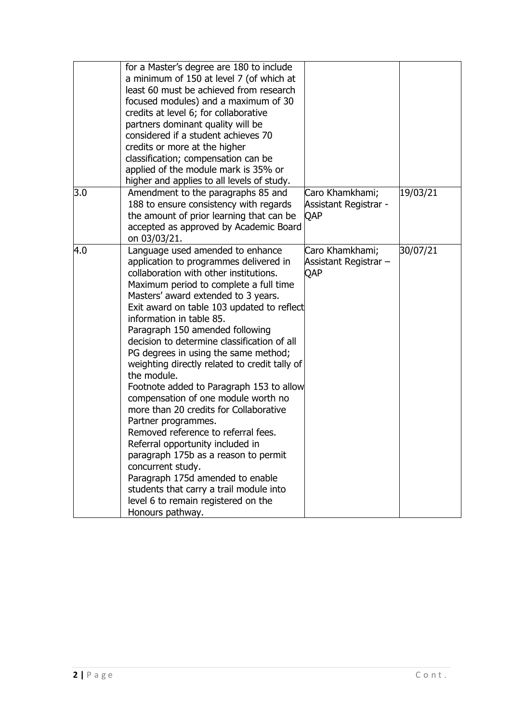|     | for a Master's degree are 180 to include<br>a minimum of 150 at level 7 (of which at<br>least 60 must be achieved from research<br>focused modules) and a maximum of 30<br>credits at level 6; for collaborative<br>partners dominant quality will be<br>considered if a student achieves 70<br>credits or more at the higher<br>classification; compensation can be<br>applied of the module mark is 35% or<br>higher and applies to all levels of study.                                                                                                                                                                                                                                                                                                                                                                                                                                                      |                                                        |          |
|-----|-----------------------------------------------------------------------------------------------------------------------------------------------------------------------------------------------------------------------------------------------------------------------------------------------------------------------------------------------------------------------------------------------------------------------------------------------------------------------------------------------------------------------------------------------------------------------------------------------------------------------------------------------------------------------------------------------------------------------------------------------------------------------------------------------------------------------------------------------------------------------------------------------------------------|--------------------------------------------------------|----------|
| 3.0 | Amendment to the paragraphs 85 and<br>188 to ensure consistency with regards<br>the amount of prior learning that can be<br>accepted as approved by Academic Board<br>on 03/03/21.                                                                                                                                                                                                                                                                                                                                                                                                                                                                                                                                                                                                                                                                                                                              | Caro Khamkhami;<br><b>Assistant Registrar -</b><br>QAP | 19/03/21 |
| 4.0 | Language used amended to enhance<br>application to programmes delivered in<br>collaboration with other institutions.<br>Maximum period to complete a full time<br>Masters' award extended to 3 years.<br>Exit award on table 103 updated to reflect<br>information in table 85.<br>Paragraph 150 amended following<br>decision to determine classification of all<br>PG degrees in using the same method;<br>weighting directly related to credit tally of<br>the module.<br>Footnote added to Paragraph 153 to allow<br>compensation of one module worth no<br>more than 20 credits for Collaborative<br>Partner programmes.<br>Removed reference to referral fees.<br>Referral opportunity included in<br>paragraph 175b as a reason to permit<br>concurrent study.<br>Paragraph 175d amended to enable<br>students that carry a trail module into<br>level 6 to remain registered on the<br>Honours pathway. | Caro Khamkhami;<br>Assistant Registrar -<br>QAP        | 30/07/21 |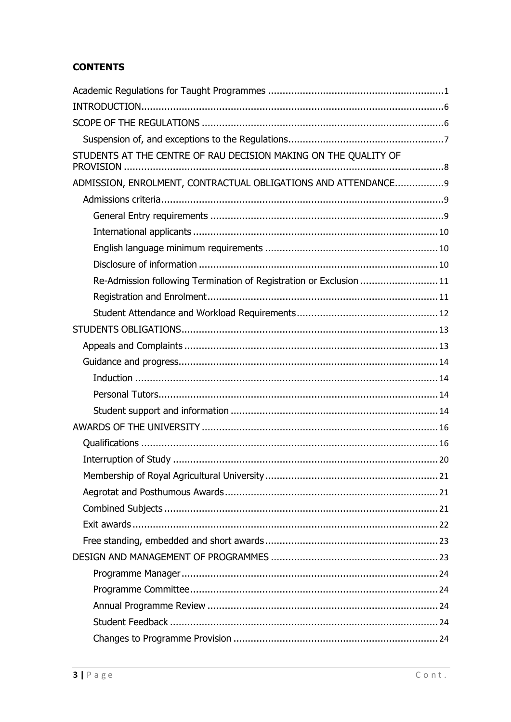### **CONTENTS**

| STUDENTS AT THE CENTRE OF RAU DECISION MAKING ON THE QUALITY OF     |
|---------------------------------------------------------------------|
| ADMISSION, ENROLMENT, CONTRACTUAL OBLIGATIONS AND ATTENDANCE9       |
|                                                                     |
|                                                                     |
|                                                                     |
|                                                                     |
|                                                                     |
| Re-Admission following Termination of Registration or Exclusion  11 |
|                                                                     |
|                                                                     |
|                                                                     |
|                                                                     |
|                                                                     |
|                                                                     |
|                                                                     |
|                                                                     |
|                                                                     |
|                                                                     |
|                                                                     |
|                                                                     |
|                                                                     |
|                                                                     |
|                                                                     |
|                                                                     |
|                                                                     |
|                                                                     |
|                                                                     |
|                                                                     |
|                                                                     |
|                                                                     |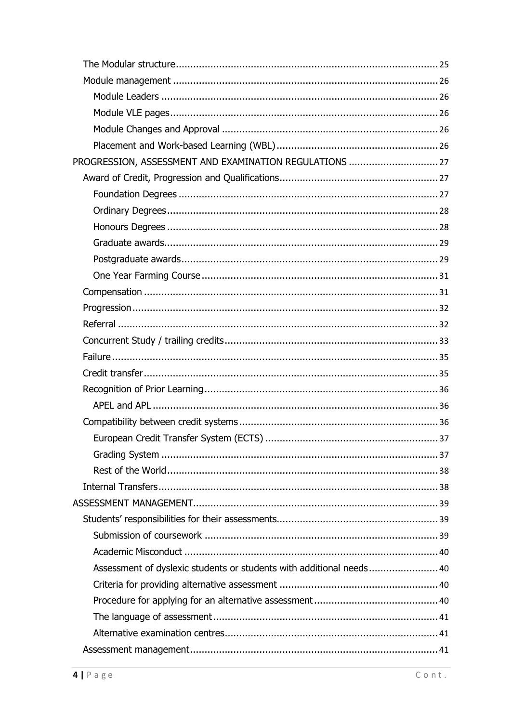| PROGRESSION, ASSESSMENT AND EXAMINATION REGULATIONS  27              |
|----------------------------------------------------------------------|
|                                                                      |
|                                                                      |
|                                                                      |
|                                                                      |
|                                                                      |
|                                                                      |
|                                                                      |
|                                                                      |
|                                                                      |
|                                                                      |
|                                                                      |
|                                                                      |
|                                                                      |
|                                                                      |
|                                                                      |
|                                                                      |
|                                                                      |
|                                                                      |
|                                                                      |
|                                                                      |
|                                                                      |
|                                                                      |
|                                                                      |
|                                                                      |
| Assessment of dyslexic students or students with additional needs 40 |
|                                                                      |
|                                                                      |
|                                                                      |
|                                                                      |
|                                                                      |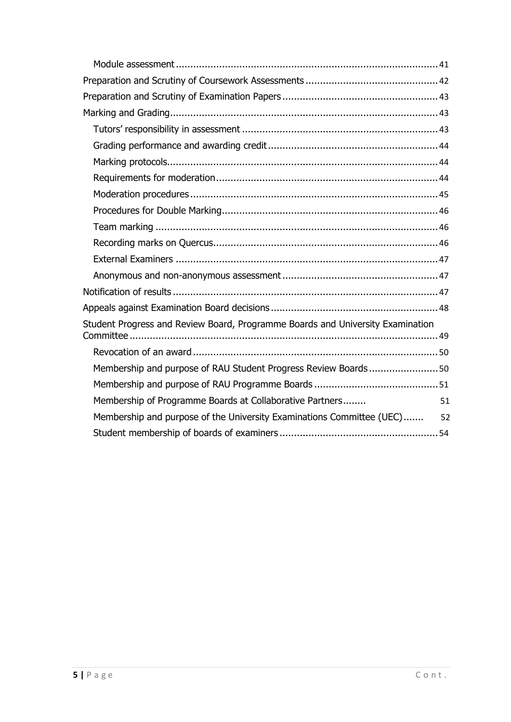| Student Progress and Review Board, Programme Boards and University Examination |    |
|--------------------------------------------------------------------------------|----|
|                                                                                |    |
| Membership and purpose of RAU Student Progress Review Boards50                 |    |
|                                                                                |    |
| Membership of Programme Boards at Collaborative Partners                       | 51 |
| Membership and purpose of the University Examinations Committee (UEC) 52       |    |
|                                                                                |    |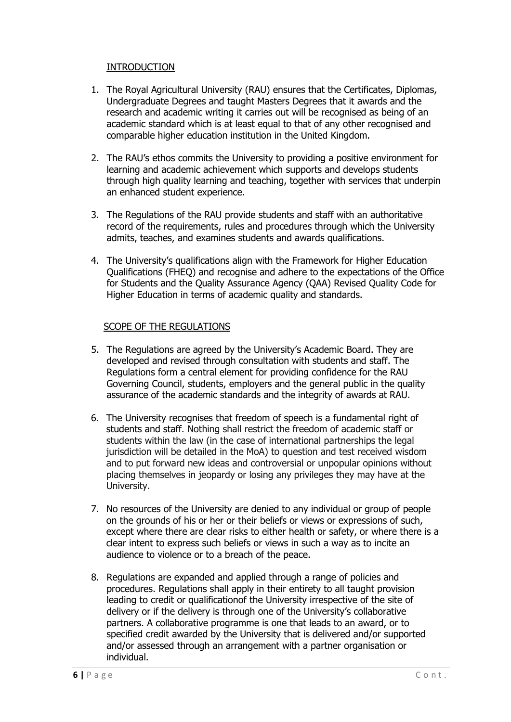#### INTRODUCTION

- <span id="page-5-0"></span>1. The Royal Agricultural University (RAU) ensures that the Certificates, Diplomas, Undergraduate Degrees and taught Masters Degrees that it awards and the research and academic writing it carries out will be recognised as being of an academic standard which is at least equal to that of any other recognised and comparable higher education institution in the United Kingdom.
- 2. The RAU's ethos commits the University to providing a positive environment for learning and academic achievement which supports and develops students through high quality learning and teaching, together with services that underpin an enhanced student experience.
- 3. The Regulations of the RAU provide students and staff with an authoritative record of the requirements, rules and procedures through which the University admits, teaches, and examines students and awards qualifications.
- 4. The University's qualifications align with the Framework for Higher Education Qualifications (FHEQ) and recognise and adhere to the expectations of the Office for Students and the Quality Assurance Agency (QAA) Revised Quality Code for Higher Education in terms of academic quality and standards.

#### SCOPE OF THE REGULATIONS

- <span id="page-5-1"></span>5. The Regulations are agreed by the University's Academic Board. They are developed and revised through consultation with students and staff. The Regulations form a central element for providing confidence for the RAU Governing Council, students, employers and the general public in the quality assurance of the academic standards and the integrity of awards at RAU.
- 6. The University recognises that freedom of speech is a fundamental right of students and staff. Nothing shall restrict the freedom of academic staff or students within the law (in the case of international partnerships the legal jurisdiction will be detailed in the MoA) to question and test received wisdom and to put forward new ideas and controversial or unpopular opinions without placing themselves in jeopardy or losing any privileges they may have at the University.
- 7. No resources of the University are denied to any individual or group of people on the grounds of his or her or their beliefs or views or expressions of such, except where there are clear risks to either health or safety, or where there is a clear intent to express such beliefs or views in such a way as to incite an audience to violence or to a breach of the peace.
- 8. Regulations are expanded and applied through a range of policies and procedures. Regulations shall apply in their entirety to all taught provision leading to credit or qualificationof the University irrespective of the site of delivery or if the delivery is through one of the University's collaborative partners. A collaborative programme is one that leads to an award, or to specified credit awarded by the University that is delivered and/or supported and/or assessed through an arrangement with a partner organisation or individual.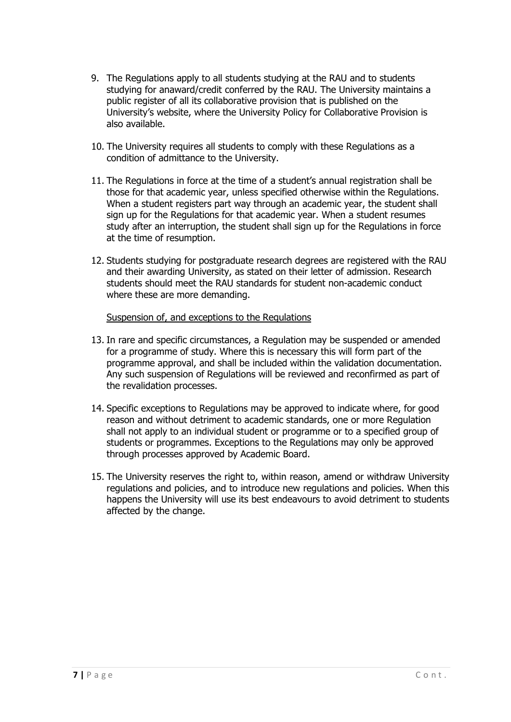- 9. The Regulations apply to all students studying at the RAU and to students studying for anaward/credit conferred by the RAU. The University maintains a public register of all its collaborative provision that is published on the University's website, where the University Policy for Collaborative Provision is also available.
- 10. The University requires all students to comply with these Regulations as a condition of admittance to the University.
- 11. The Regulations in force at the time of a student's annual registration shall be those for that academic year, unless specified otherwise within the Regulations. When a student registers part way through an academic year, the student shall sign up for the Regulations for that academic year. When a student resumes study after an interruption, the student shall sign up for the Regulations in force at the time of resumption.
- 12. Students studying for postgraduate research degrees are registered with the RAU and their awarding University, as stated on their letter of admission. Research students should meet the RAU standards for student non-academic conduct where these are more demanding.

#### Suspension of, and exceptions to the Regulations

- <span id="page-6-0"></span>13. In rare and specific circumstances, a Regulation may be suspended or amended for a programme of study. Where this is necessary this will form part of the programme approval, and shall be included within the validation documentation. Any such suspension of Regulations will be reviewed and reconfirmed as part of the revalidation processes.
- 14. Specific exceptions to Regulations may be approved to indicate where, for good reason and without detriment to academic standards, one or more Regulation shall not apply to an individual student or programme or to a specified group of students or programmes. Exceptions to the Regulations may only be approved through processes approved by Academic Board.
- 15. The University reserves the right to, within reason, amend or withdraw University regulations and policies, and to introduce new regulations and policies. When this happens the University will use its best endeavours to avoid detriment to students affected by the change.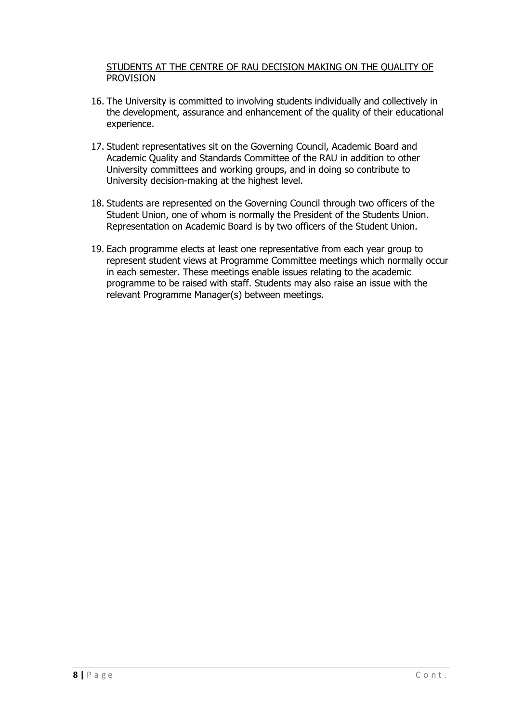#### <span id="page-7-0"></span>STUDENTS AT THE CENTRE OF RAU DECISION MAKING ON THE QUALITY OF PROVISION

- 16. The University is committed to involving students individually and collectively in the development, assurance and enhancement of the quality of their educational experience.
- 17. Student representatives sit on the Governing Council, Academic Board and Academic Quality and Standards Committee of the RAU in addition to other University committees and working groups, and in doing so contribute to University decision-making at the highest level.
- 18. Students are represented on the Governing Council through two officers of the Student Union, one of whom is normally the President of the Students Union. Representation on Academic Board is by two officers of the Student Union.
- 19. Each programme elects at least one representative from each year group to represent student views at Programme Committee meetings which normally occur in each semester. These meetings enable issues relating to the academic programme to be raised with staff. Students may also raise an issue with the relevant Programme Manager(s) between meetings.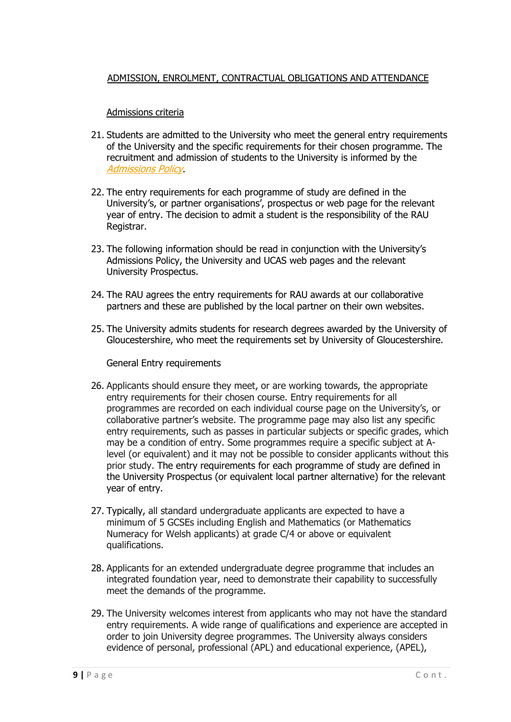#### <span id="page-8-0"></span>ADMISSION, ENROLMENT, CONTRACTUAL OBLIGATIONS AND ATTENDANCE

#### Admissions criteria

- <span id="page-8-1"></span>21. Students are admitted to the University who meet the general entry requirements of the University and the specific requirements for their chosen programme. The recruitment and admission of students to the University is informed by the [Admissions](https://www.rau.ac.uk/sites/files/rau/policies/Admissions%20Policy%20June2020_0.pdf) Policy.
- 22. The entry requirements for each programme of study are defined in the University's, or partner organisations', prospectus or web page for the relevant year of entry. The decision to admit a student is the responsibility of the RAU Registrar.
- 23. The following information should be read in conjunction with the University's Admissions Policy, the University and UCAS web pages and the relevant University Prospectus.
- 24. The RAU agrees the entry requirements for RAU awards at our collaborative partners and these are published by the local partner on their own websites.
- 25. The University admits students for research degrees awarded by the University of Gloucestershire, who meet the requirements set by University of Gloucestershire.

General Entry requirements

- <span id="page-8-2"></span>26. Applicants should ensure they meet, or are working towards, the appropriate entry requirements for their chosen course. Entry requirements for all programmes are recorded on each individual course page on the University's, or collaborative partner's website. The programme page may also list any specific entry requirements, such as passes in particular subjects or specific grades, which may be a condition of entry. Some programmes require a specific subject at Alevel (or equivalent) and it may not be possible to consider applicants without this prior study. The entry requirements for each programme of study are defined in the University Prospectus (or equivalent local partner alternative) for the relevant year of entry.
- 27. Typically, all standard undergraduate applicants are expected to have a minimum of 5 GCSEs including English and Mathematics (or Mathematics Numeracy for Welsh applicants) at grade C/4 or above or equivalent qualifications.
- 28. Applicants for an extended undergraduate degree programme that includes an integrated foundation year, need to demonstrate their capability to successfully meet the demands of the programme.
- 29. The University welcomes interest from applicants who may not have the standard entry requirements. A wide range of qualifications and experience are accepted in order to join University degree programmes. The University always considers evidence of personal, professional (APL) and educational experience, (APEL),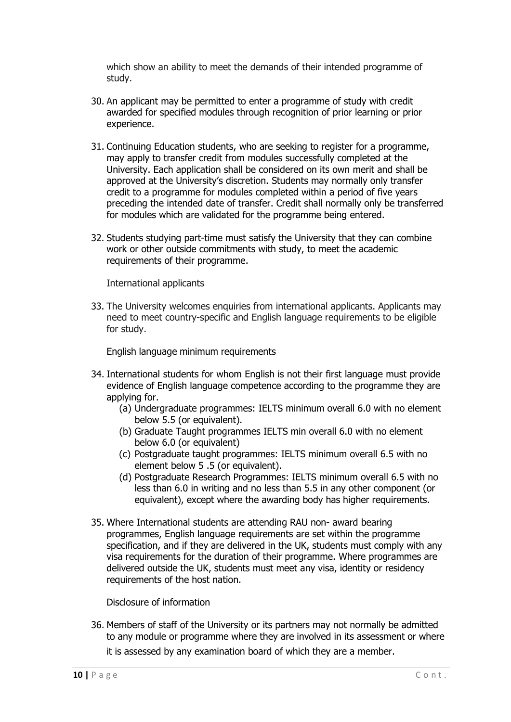which show an ability to meet the demands of their intended programme of study.

- 30. An applicant may be permitted to enter a programme of study with credit awarded for specified modules through recognition of prior learning or prior experience.
- 31. Continuing Education students, who are seeking to register for a programme, may apply to transfer credit from modules successfully completed at the University. Each application shall be considered on its own merit and shall be approved at the University's discretion. Students may normally only transfer credit to a programme for modules completed within a period of five years preceding the intended date of transfer. Credit shall normally only be transferred for modules which are validated for the programme being entered.
- 32. Students studying part-time must satisfy the University that they can combine work or other outside commitments with study, to meet the academic requirements of their programme.

International applicants

<span id="page-9-0"></span>33. The University welcomes enquiries from international applicants. Applicants may need to meet country-specific and English language requirements to be eligible for study.

English language minimum requirements

- <span id="page-9-1"></span>34. International students for whom English is not their first language must provide evidence of English language competence according to the programme they are applying for.
	- (a) Undergraduate programmes: IELTS minimum overall 6.0 with no element below 5.5 (or equivalent).
	- (b) Graduate Taught programmes IELTS min overall 6.0 with no element below 6.0 (or equivalent)
	- (c) Postgraduate taught programmes: IELTS minimum overall 6.5 with no element below 5 .5 (or equivalent).
	- (d) Postgraduate Research Programmes: IELTS minimum overall 6.5 with no less than 6.0 in writing and no less than 5.5 in any other component (or equivalent), except where the awarding body has higher requirements.
- 35. Where International students are attending RAU non- award bearing programmes, English language requirements are set within the programme specification, and if they are delivered in the UK, students must comply with any visa requirements for the duration of their programme. Where programmes are delivered outside the UK, students must meet any visa, identity or residency requirements of the host nation.

Disclosure of information

<span id="page-9-2"></span>36. Members of staff of the University or its partners may not normally be admitted to any module or programme where they are involved in its assessment or where it is assessed by any examination board of which they are a member.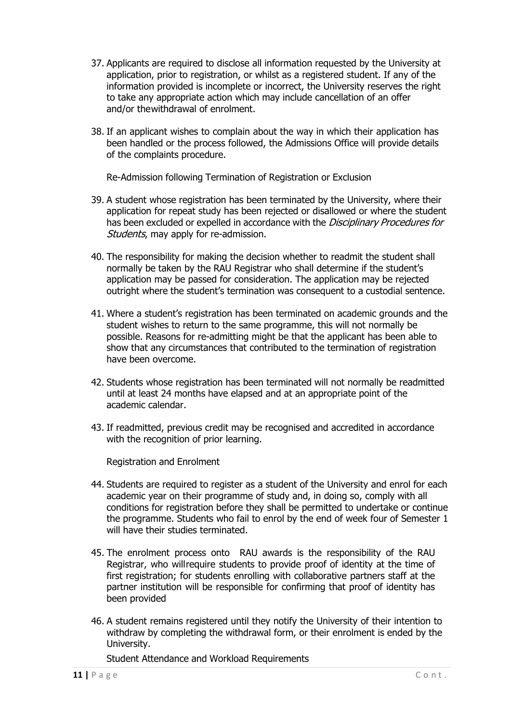- 37. Applicants are required to disclose all information requested by the University at application, prior to registration, or whilst as a registered student. If any of the information provided is incomplete or incorrect, the University reserves the right to take any appropriate action which may include cancellation of an offer and/or the withdrawal of enrolment.
- 38. If an applicant wishes to complain about the way in which their application has been handled or the process followed, the Admissions Office will provide details of the complaints procedure.

Re-Admission following Termination of Registration or Exclusion

- <span id="page-10-0"></span>39. A student whose registration has been terminated by the University, where their application for repeat study has been rejected or disallowed or where the student has been excluded or expelled in accordance with the *Disciplinary Procedures for* Students, may apply for re-admission.
- 40. The responsibility for making the decision whether to readmit the student shall normally be taken by the RAU Registrar who shall determine if the student's application may be passed for consideration. The application may be rejected outright where the student's termination was consequent to a custodial sentence.
- 41. Where a student's registration has been terminated on academic grounds and the student wishes to return to the same programme, this will not normally be possible. Reasons for re-admitting might be that the applicant has been able to show that any circumstances that contributed to the termination of registration have been overcome.
- 42. Students whose registration has been terminated will not normally be readmitted until at least 24 months have elapsed and at an appropriate point of the academic calendar.
- 43. If readmitted, previous credit may be recognised and accredited in accordance with the recognition of prior learning.

Registration and Enrolment

- <span id="page-10-1"></span>44. Students are required to register as a student of the University and enrol for each academic year on their programme of study and, in doing so, comply with all conditions for registration before they shall be permitted to undertake or continue the programme. Students who fail to enrol by the end of week four of Semester 1 will have their studies terminated.
- 45. The enrolment process onto RAU awards is the responsibility of the RAU Registrar, who will require students to provide proof of identity at the time of first registration; for students enrolling with collaborative partners staff at the partner institution will be responsible for confirming that proof of identity has been provided
- <span id="page-10-2"></span>46. A student remains registered until they notify the University of their intention to withdraw by completing the withdrawal form, or their enrolment is ended by the University.

Student Attendance and Workload Requirements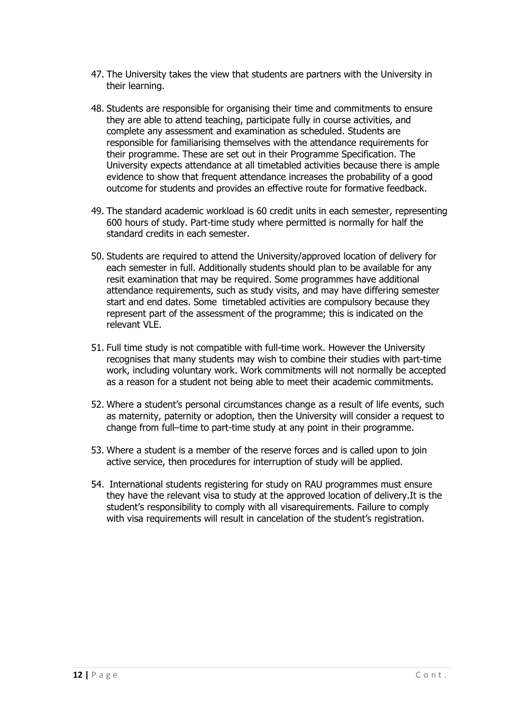- 47. The University takes the view that students are partners with the University in their learning.
- 48. Students are responsible for organising their time and commitments to ensure they are able to attend teaching, participate fully in course activities, and complete any assessment and examination as scheduled. Students are responsible for familiarising themselves with the attendance requirements for their programme. These are set out in their Programme Specification. The University expects attendance at all timetabled activities because there is ample evidence to show that frequent attendance increases the probability of a good outcome for students and provides an effective route for formative feedback.
- 49. The standard academic workload is 60 credit units in each semester, representing 600 hours of study. Part-time study where permitted is normally for half the standard credits in each semester.
- 50. Students are required to attend the University/approved location of delivery for each semester in full. Additionally students should plan to be available for any resit examination that may be required. Some programmes have additional attendance requirements, such as study visits, and may have differing semester start and end dates. Some timetabled activities are compulsory because they represent part of the assessment of the programme; this is indicated on the relevant VLE.
- 51. Full time study is not compatible with full-time work. However the University recognises that many students may wish to combine their studies with part-time work, including voluntary work. Work commitments will not normally be accepted as a reason for a student not being able to meet their academic commitments.
- 52. Where a student's personal circumstances change as a result of life events, such as maternity, paternity or adoption, then the University will consider a request to change from full–time to part-time study at any point in their programme.
- 53. Where a student is a member of the reserve forces and is called upon to join active service, then procedures for interruption of study will be applied.
- 54. International students registering for study on RAU programmes must ensure they have the relevant visa to study at the approved location of delivery.It is the student's responsibility to comply with all visarequirements. Failure to comply with visa requirements will result in cancelation of the student's registration.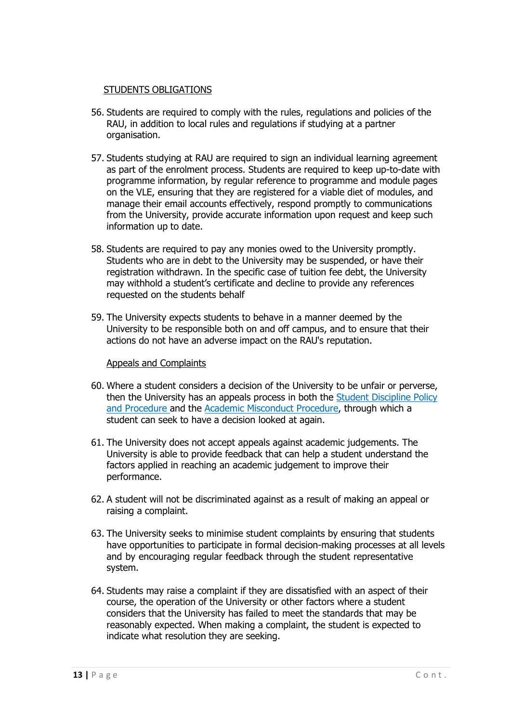#### STUDENTS OBLIGATIONS

- <span id="page-12-0"></span>56. Students are required to comply with the rules, regulations and policies of the RAU, in addition to local rules and regulations if studying at a partner organisation.
- 57. Students studying at RAU are required to sign an individual learning agreement as part of the enrolment process. Students are required to keep up-to-date with programme information, by regular reference to programme and module pages on the VLE, ensuring that they are registered for a viable diet of modules, and manage their email accounts effectively, respond promptly to communications from the University, provide accurate information upon request and keep such information up to date.
- 58. Students are required to pay any monies owed to the University promptly. Students who are in debt to the University may be suspended, or have their registration withdrawn. In the specific case of tuition fee debt, the University may withhold a student's certificate and decline to provide any references requested on the students behalf
- 59. The University expects students to behave in a manner deemed by the University to be responsible both on and off campus, and to ensure that their actions do not have an adverse impact on the RAU's reputation.

#### Appeals and Complaints

- <span id="page-12-1"></span>60. Where a student considers a decision of the University to be unfair or perverse, then the University has an appeals process in both the [Student Discipline Policy](https://www.rau.ac.uk/university-life/support-and-wellbeing/student-handbook) [and Procedure a](http://res.rau.ac.uk/docs/www/policies/Student-Discipline-Policy-Procedure.pdf)nd the [Academic Misconduct Procedure,](https://www.rau.ac.uk/university-life/support-and-wellbeing/student-handbook) through which a student can seek to have a decision looked at again.
- 61. The University does not accept appeals against academic judgements. The University is able to provide feedback that can help a student understand the factors applied in reaching an academic judgement to improve their performance.
- 62. A student will not be discriminated against as a result of making an appeal or raising a complaint.
- 63. The University seeks to minimise student complaints by ensuring that students have opportunities to participate in formal decision-making processes at all levels and by encouraging regular feedback through the student representative system.
- 64. Students may raise a complaint if they are dissatisfied with an aspect of their course, the operation of the University or other factors where a student considers that the University has failed to meet the standards that may be reasonably expected. When making a complaint, the student is expected to indicate what resolution they are seeking.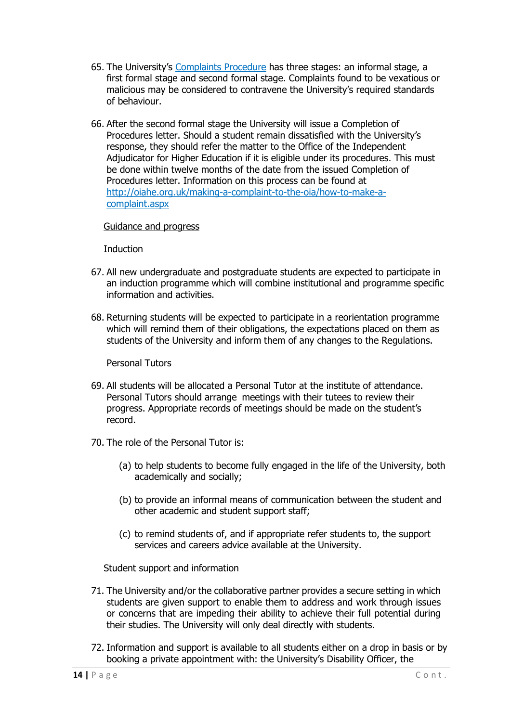- 65. The University's [Complaints Procedure](https://www.rau.ac.uk/sites/files/rau/policies/StudentComplaintsProcedure2017_0.pdf) has three stages: an informal stage, a first formal stage and second formal stage. Complaints found to be vexatious or malicious may be considered to contravene the University's required standards of behaviour.
- 66. After the second formal stage the University will issue a Completion of Procedures letter. Should a student remain dissatisfied with the University's response, they should refer the matter to the Office of the Independent Adjudicator for Higher Education if it is eligible under its procedures. This must be done within twelve months of the date from the issued Completion of Procedures letter. Information on this process can be found at [http://oiahe.org.uk/making-a-complaint-to-the-oia/how-to-make-a](http://oiahe.org.uk/making-a-complaint-to-the-oia/how-to-make-a-complaint.aspx)[complaint.aspx](http://oiahe.org.uk/making-a-complaint-to-the-oia/how-to-make-a-complaint.aspx)

#### <span id="page-13-0"></span>Guidance and progress

Induction

- <span id="page-13-1"></span>67. All new undergraduate and postgraduate students are expected to participate in an induction programme which will combine institutional and programme specific information and activities.
- 68. Returning students will be expected to participate in a reorientation programme which will remind them of their obligations, the expectations placed on them as students of the University and inform them of any changes to the Regulations.

Personal Tutors

- <span id="page-13-2"></span>69. All students will be allocated a Personal Tutor at the institute of attendance. Personal Tutors should arrange meetings with their tutees to review their progress. Appropriate records of meetings should be made on the student's record.
- 70. The role of the Personal Tutor is:
	- (a) to help students to become fully engaged in the life of the University, both academically and socially;
	- (b) to provide an informal means of communication between the student and other academic and student support staff;
	- (c) to remind students of, and if appropriate refer students to, the support services and careers advice available at the University.

Student support and information

- <span id="page-13-3"></span>71. The University and/or the collaborative partner provides a secure setting in which students are given support to enable them to address and work through issues or concerns that are impeding their ability to achieve their full potential during their studies. The University will only deal directly with students.
- 72. Information and support is available to all students either on a drop in basis or by booking a private appointment with: the University's Disability Officer, the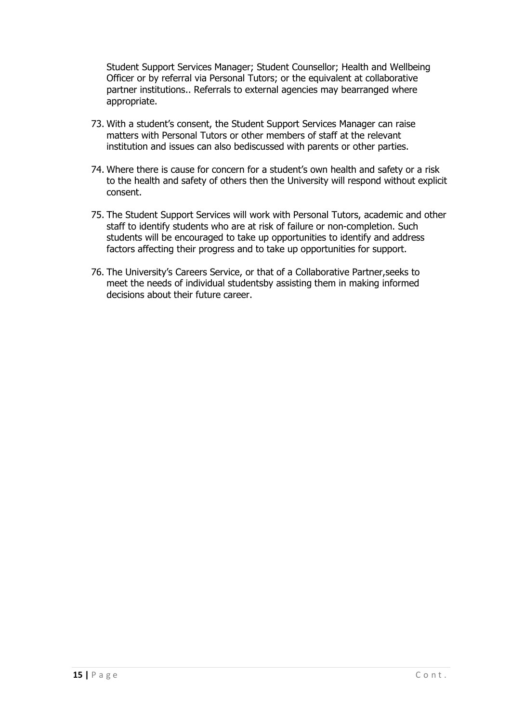Student Support Services Manager; Student Counsellor; Health and Wellbeing Officer or by referral via Personal Tutors; or the equivalent at collaborative partner institutions.. Referrals to external agencies may bearranged where appropriate.

- 73. With a student's consent, the Student Support Services Manager can raise matters with Personal Tutors or other members of staff at the relevant institution and issues can also bediscussed with parents or other parties.
- 74. Where there is cause for concern for a student's own health and safety or a risk to the health and safety of others then the University will respond without explicit consent.
- 75. The Student Support Services will work with Personal Tutors, academic and other staff to identify students who are at risk of failure or non-completion. Such students will be encouraged to take up opportunities to identify and address factors affecting their progress and to take up opportunities for support.
- 76. The University's Careers Service, or that of a Collaborative Partner,seeks to meet the needs of individual studentsby assisting them in making informed decisions about their future career.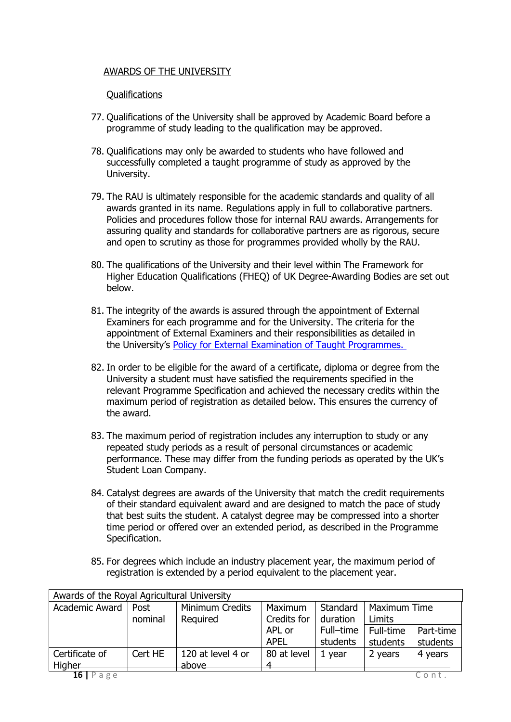#### <span id="page-15-0"></span>AWARDS OF THE UNIVERSITY

#### Qualifications

- <span id="page-15-1"></span>77. Qualifications of the University shall be approved by Academic Board before a programme of study leading to the qualification may be approved.
- 78. Qualifications may only be awarded to students who have followed and successfully completed a taught programme of study as approved by the University.
- 79. The RAU is ultimately responsible for the academic standards and quality of all awards granted in its name. Regulations apply in full to collaborative partners. Policies and procedures follow those for internal RAU awards. Arrangements for assuring quality and standards for collaborative partners are as rigorous, secure and open to scrutiny as those for programmes provided wholly by the RAU.
- 80. The qualifications of the University and their level within The Framework for Higher Education Qualifications (FHEQ) of UK Degree-Awarding Bodies are set out below.
- 81. The integrity of the awards is assured through the appointment of External Examiners for each programme and for the University. The criteria for the appointment of External Examiners and their responsibilities as detailed in the University's [Policy for External Examination of Taught Programmes.](https://www.rau.ac.uk/sites/files/rau/External-Examination-Policy-of-Taught-Programmes.pdf)
- 82. In order to be eligible for the award of a certificate, diploma or degree from the University a student must have satisfied the requirements specified in the relevant Programme Specification and achieved the necessary credits within the maximum period of registration as detailed below. This ensures the currency of the award.
- 83. The maximum period of registration includes any interruption to study or any repeated study periods as a result of personal circumstances or academic performance. These may differ from the funding periods as operated by the UK's Student Loan Company.
- 84. Catalyst degrees are awards of the University that match the credit requirements of their standard equivalent award and are designed to match the pace of study that best suits the student. A catalyst degree may be compressed into a shorter time period or offered over an extended period, as described in the Programme Specification.
- 85. For degrees which include an industry placement year, the maximum period of registration is extended by a period equivalent to the placement year.

| Awards of the Royal Agricultural University |         |                   |             |           |                     |           |
|---------------------------------------------|---------|-------------------|-------------|-----------|---------------------|-----------|
| Academic Award                              | Post    | Minimum Credits   | Maximum     | Standard  | <b>Maximum Time</b> |           |
|                                             | nominal | Required          | Credits for | duration  | Limits              |           |
|                                             |         |                   | APL or      | Full-time | Full-time           | Part-time |
|                                             |         |                   | <b>APEL</b> | students  | students            | students  |
| Certificate of                              | Cert HE | 120 at level 4 or | 80 at level | 1 vear    | 2 years             | 4 years   |
| Higher                                      |         | above             |             |           |                     |           |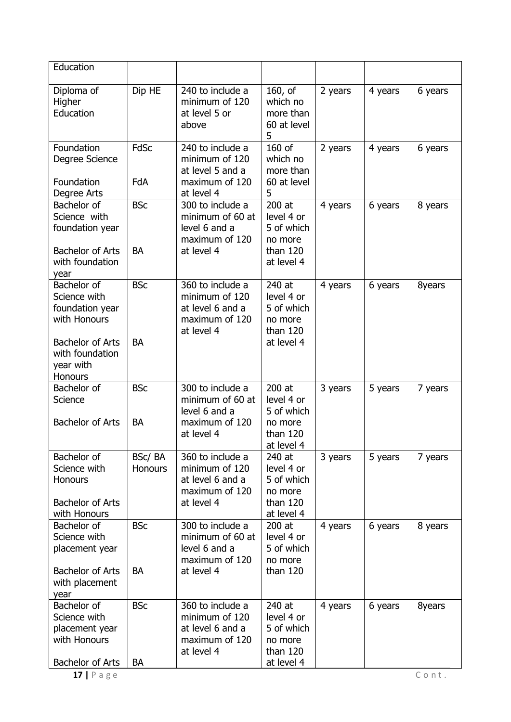| Education                                                                                |                          |                                                                                        |                                                                         |         |         |         |
|------------------------------------------------------------------------------------------|--------------------------|----------------------------------------------------------------------------------------|-------------------------------------------------------------------------|---------|---------|---------|
| Diploma of<br>Higher<br>Education                                                        | Dip HE                   | 240 to include a<br>minimum of 120<br>at level 5 or<br>above                           | 160, of<br>which no<br>more than<br>60 at level<br>5                    | 2 years | 4 years | 6 years |
| Foundation<br>Degree Science<br>Foundation                                               | <b>FdSc</b><br>FdA       | 240 to include a<br>minimum of 120<br>at level 5 and a<br>maximum of 120               | 160 of<br>which no<br>more than<br>60 at level                          | 2 years | 4 years | 6 years |
| Degree Arts                                                                              |                          | at level 4                                                                             | 5                                                                       |         |         |         |
| Bachelor of<br>Science with<br>foundation year<br><b>Bachelor of Arts</b>                | <b>BSc</b><br><b>BA</b>  | 300 to include a<br>minimum of 60 at<br>level 6 and a<br>maximum of 120<br>at level 4  | 200 at<br>level 4 or<br>5 of which<br>no more<br>than 120               | 4 years | 6 years | 8 years |
| with foundation<br>year                                                                  |                          |                                                                                        | at level 4                                                              |         |         |         |
| Bachelor of<br>Science with<br>foundation year<br>with Honours                           | <b>BSc</b>               | 360 to include a<br>minimum of 120<br>at level 6 and a<br>maximum of 120<br>at level 4 | 240 at<br>level 4 or<br>5 of which<br>no more<br>than $120$             | 4 years | 6 years | 8years  |
| <b>Bachelor of Arts</b><br>with foundation<br>year with<br>Honours                       | <b>BA</b>                |                                                                                        | at level 4                                                              |         |         |         |
| Bachelor of<br>Science<br><b>Bachelor of Arts</b>                                        | <b>BSc</b><br><b>BA</b>  | 300 to include a<br>minimum of 60 at<br>level 6 and a<br>maximum of 120<br>at level 4  | 200 at<br>level 4 or<br>5 of which<br>no more<br>than 120               | 3 years | 5 years | 7 years |
|                                                                                          |                          |                                                                                        | at level 4                                                              |         |         |         |
| Bachelor of<br>Science with<br><b>Honours</b><br><b>Bachelor of Arts</b><br>with Honours | BSc/BA<br><b>Honours</b> | 360 to include a<br>minimum of 120<br>at level 6 and a<br>maximum of 120<br>at level 4 | 240 at<br>level 4 or<br>5 of which<br>no more<br>than 120<br>at level 4 | 3 years | 5 years | 7 years |
| Bachelor of<br>Science with<br>placement year                                            | <b>BSc</b>               | 300 to include a<br>minimum of 60 at<br>level 6 and a<br>maximum of 120                | 200 at<br>level 4 or<br>5 of which<br>no more                           | 4 years | 6 years | 8 years |
| <b>Bachelor of Arts</b><br>with placement<br>year                                        | <b>BA</b>                | at level 4                                                                             | than 120                                                                |         |         |         |
| Bachelor of<br>Science with<br>placement year<br>with Honours                            | <b>BSc</b>               | 360 to include a<br>minimum of 120<br>at level 6 and a<br>maximum of 120<br>at level 4 | 240 at<br>level 4 or<br>5 of which<br>no more<br>than 120               | 4 years | 6 years | 8years  |
| Bachelor of Arts<br>$17$   P a g e                                                       | <b>BA</b>                |                                                                                        | at level 4                                                              |         |         | Cont.   |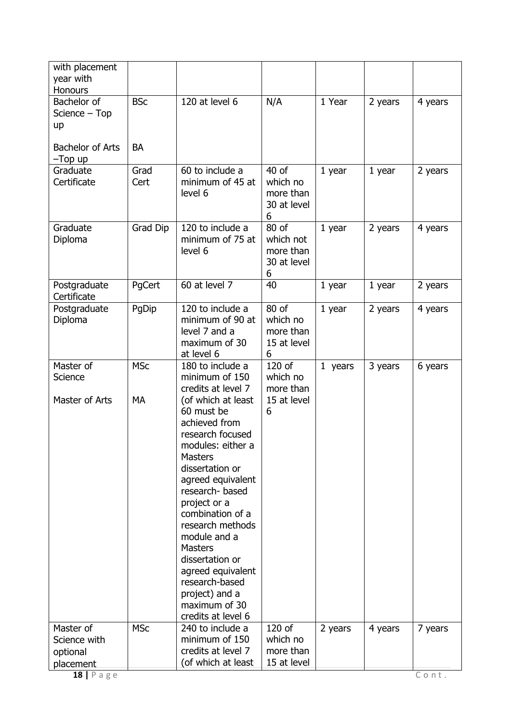| with placement<br>year with<br>Honours             |              |                                                                                                                                                                                                                                                                                                                                                                                     |                                                      |          |         |         |
|----------------------------------------------------|--------------|-------------------------------------------------------------------------------------------------------------------------------------------------------------------------------------------------------------------------------------------------------------------------------------------------------------------------------------------------------------------------------------|------------------------------------------------------|----------|---------|---------|
| Bachelor of<br>Science - Top<br>up                 | <b>BSc</b>   | 120 at level 6                                                                                                                                                                                                                                                                                                                                                                      | N/A                                                  | 1 Year   | 2 years | 4 years |
| <b>Bachelor of Arts</b><br>$-Top$ up               | <b>BA</b>    |                                                                                                                                                                                                                                                                                                                                                                                     |                                                      |          |         |         |
| Graduate<br>Certificate                            | Grad<br>Cert | 60 to include a<br>minimum of 45 at<br>level 6                                                                                                                                                                                                                                                                                                                                      | $40$ of<br>which no<br>more than<br>30 at level<br>6 | $1$ year | 1 year  | 2 years |
| Graduate<br>Diploma                                | Grad Dip     | 120 to include a<br>minimum of 75 at<br>level 6                                                                                                                                                                                                                                                                                                                                     | 80 of<br>which not<br>more than<br>30 at level<br>6  | 1 year   | 2 years | 4 years |
| Postgraduate<br>Certificate                        | PgCert       | 60 at level 7                                                                                                                                                                                                                                                                                                                                                                       | 40                                                   | 1 year   | 1 year  | 2 years |
| Postgraduate<br>Diploma                            | PgDip        | 120 to include a<br>minimum of 90 at<br>level 7 and a<br>maximum of 30<br>at level 6                                                                                                                                                                                                                                                                                                | 80 of<br>which no<br>more than<br>15 at level<br>6   | 1 year   | 2 years | 4 years |
| Master of<br>Science                               | <b>MSc</b>   | 180 to include a<br>minimum of 150<br>credits at level 7                                                                                                                                                                                                                                                                                                                            | 120 of<br>which no<br>more than                      | 1 years  | 3 years | 6 years |
| Master of Arts                                     | <b>MA</b>    | (of which at least<br>60 must be<br>achieved from<br>research focused<br>modules: either a<br><b>Masters</b><br>dissertation or<br>agreed equivalent<br>research-based<br>project or a<br>combination of a<br>research methods<br>module and a<br><b>Masters</b><br>dissertation or<br>agreed equivalent<br>research-based<br>project) and a<br>maximum of 30<br>credits at level 6 | 15 at level<br>6                                     |          |         |         |
| Master of<br>Science with<br>optional<br>placement | <b>MSc</b>   | 240 to include a<br>minimum of 150<br>credits at level 7<br>(of which at least                                                                                                                                                                                                                                                                                                      | 120 of<br>which no<br>more than<br>15 at level       | 2 years  | 4 years | 7 years |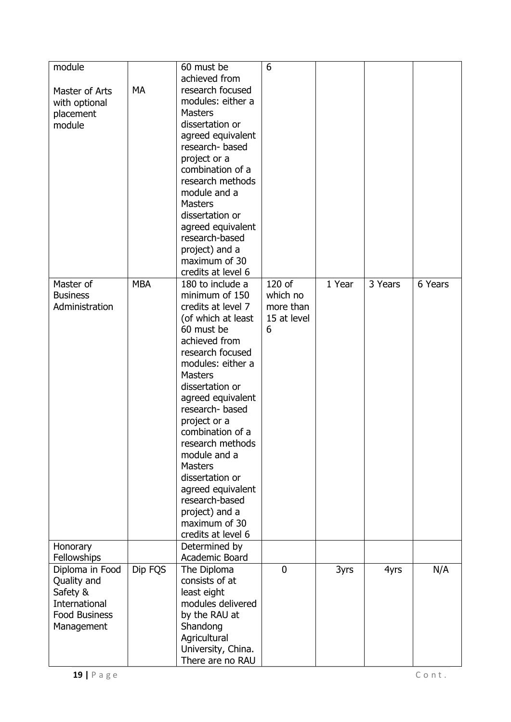| module<br>Master of Arts<br>with optional<br>placement<br>module                                  | MA         | 60 must be<br>achieved from<br>research focused<br>modules: either a<br><b>Masters</b><br>dissertation or<br>agreed equivalent<br>research-based<br>project or a<br>combination of a<br>research methods<br>module and a<br><b>Masters</b><br>dissertation or<br>agreed equivalent<br>research-based<br>project) and a<br>maximum of 30<br>credits at level 6                                                                                   | 6                                                   |        |         |         |
|---------------------------------------------------------------------------------------------------|------------|-------------------------------------------------------------------------------------------------------------------------------------------------------------------------------------------------------------------------------------------------------------------------------------------------------------------------------------------------------------------------------------------------------------------------------------------------|-----------------------------------------------------|--------|---------|---------|
| Master of<br><b>Business</b><br>Administration                                                    | <b>MBA</b> | 180 to include a<br>minimum of 150<br>credits at level 7<br>(of which at least<br>60 must be<br>achieved from<br>research focused<br>modules: either a<br><b>Masters</b><br>dissertation or<br>agreed equivalent<br>research-based<br>project or a<br>combination of a<br>research methods<br>module and a<br><b>Masters</b><br>dissertation or<br>agreed equivalent<br>research-based<br>project) and a<br>maximum of 30<br>credits at level 6 | 120 of<br>which no<br>more than<br>15 at level<br>6 | 1 Year | 3 Years | 6 Years |
| Honorary<br>Fellowships                                                                           |            | Determined by<br>Academic Board                                                                                                                                                                                                                                                                                                                                                                                                                 |                                                     |        |         |         |
| Diploma in Food<br>Quality and<br>Safety &<br>International<br><b>Food Business</b><br>Management | Dip FQS    | The Diploma<br>consists of at<br>least eight<br>modules delivered<br>by the RAU at<br>Shandong<br>Agricultural<br>University, China.<br>There are no RAU                                                                                                                                                                                                                                                                                        | $\overline{0}$                                      | 3yrs   | 4yrs    | N/A     |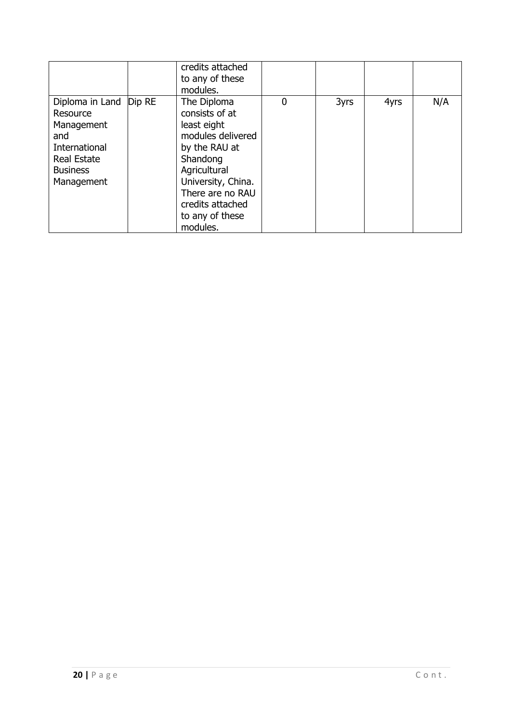|                                                                                                                                   | credits attached<br>to any of these<br>modules.                                                                                                                                                             |             |      |      |     |
|-----------------------------------------------------------------------------------------------------------------------------------|-------------------------------------------------------------------------------------------------------------------------------------------------------------------------------------------------------------|-------------|------|------|-----|
| Diploma in Land   Dip RE<br>Resource<br>Management<br>and<br>International<br><b>Real Estate</b><br><b>Business</b><br>Management | The Diploma<br>consists of at<br>least eight<br>modules delivered<br>by the RAU at<br>Shandong<br>Agricultural<br>University, China.<br>There are no RAU<br>credits attached<br>to any of these<br>modules. | $\mathbf 0$ | 3yrs | 4yrs | N/A |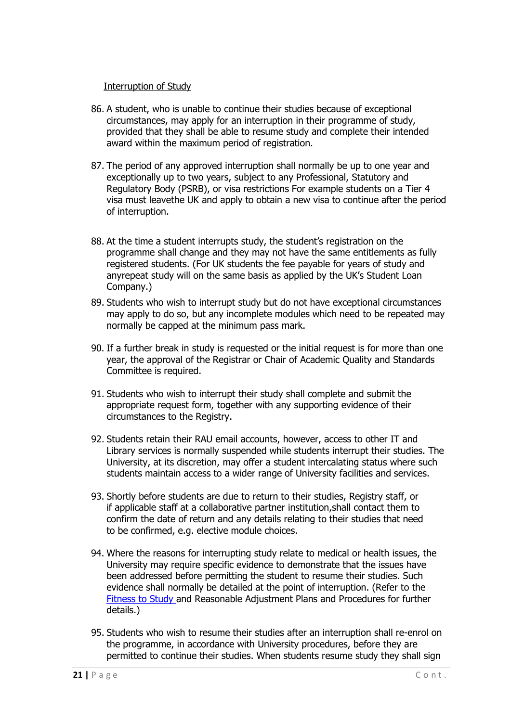#### Interruption of Study

- <span id="page-20-0"></span>86. A student, who is unable to continue their studies because of exceptional circumstances, may apply for an interruption in their programme of study, provided that they shall be able to resume study and complete their intended award within the maximum period of registration.
- 87. The period of any approved interruption shall normally be up to one year and exceptionally up to two years, subject to any Professional, Statutory and Regulatory Body (PSRB), or visa restrictions For example students on a Tier 4 visa must leavethe UK and apply to obtain a new visa to continue after the period of interruption.
- 88. At the time a student interrupts study, the student's registration on the programme shall change and they may not have the same entitlements as fully registered students. (For UK students the fee payable for years of study and anyrepeat study will on the same basis as applied by the UK's Student Loan Company.)
- 89. Students who wish to interrupt study but do not have exceptional circumstances may apply to do so, but any incomplete modules which need to be repeated may normally be capped at the minimum pass mark.
- 90. If a further break in study is requested or the initial request is for more than one year, the approval of the Registrar or Chair of Academic Quality and Standards Committee is required.
- 91. Students who wish to interrupt their study shall complete and submit the appropriate request form, together with any supporting evidence of their circumstances to the Registry.
- 92. Students retain their RAU email accounts, however, access to other IT and Library services is normally suspended while students interrupt their studies. The University, at its discretion, may offer a student intercalating status where such students maintain access to a wider range of University facilities and services.
- 93. Shortly before students are due to return to their studies, Registry staff, or if applicable staff at a collaborative partner institution,shall contact them to confirm the date of return and any details relating to their studies that need to be confirmed, e.g. elective module choices.
- 94. Where the reasons for interrupting study relate to medical or health issues, the University may require specific evidence to demonstrate that the issues have been addressed before permitting the student to resume their studies. Such evidence shall normally be detailed at the point of interruption. (Refer to the [Fitness to Study a](https://www.rau.ac.uk/sites/files/rau/Fitness%20to%20Study%20policy%202016.pdf)nd Reasonable Adjustment Plans and Procedures for further details.)
- 95. Students who wish to resume their studies after an interruption shall re-enrol on the programme, in accordance with University procedures, before they are permitted to continue their studies. When students resume study they shall sign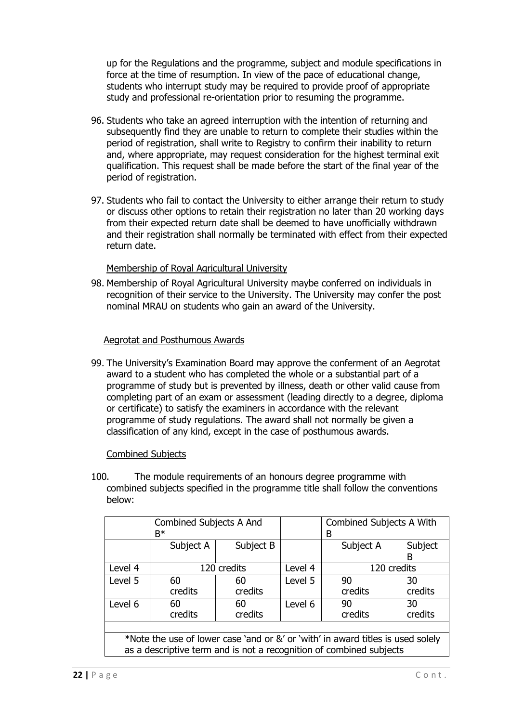up for the Regulations and the programme, subject and module specifications in force at the time of resumption. In view of the pace of educational change, students who interrupt study may be required to provide proof of appropriate study and professional re-orientation prior to resuming the programme.

- 96. Students who take an agreed interruption with the intention of returning and subsequently find they are unable to return to complete their studies within the period of registration, shall write to Registry to confirm their inability to return and, where appropriate, may request consideration for the highest terminal exit qualification. This request shall be made before the start of the final year of the period of registration.
- 97. Students who fail to contact the University to either arrange their return to study or discuss other options to retain their registration no later than 20 working days from their expected return date shall be deemed to have unofficially withdrawn and their registration shall normally be terminated with effect from their expected return date.

#### Membership of Royal Agricultural University

<span id="page-21-0"></span>98. Membership of Royal Agricultural University maybe conferred on individuals in recognition of their service to the University. The University may confer the post nominal MRAU on students who gain an award of the University.

#### Aegrotat and Posthumous Awards

<span id="page-21-1"></span>99. The University's Examination Board may approve the conferment of an Aegrotat award to a student who has completed the whole or a substantial part of a programme of study but is prevented by illness, death or other valid cause from completing part of an exam or assessment (leading directly to a degree, diploma or certificate) to satisfy the examiners in accordance with the relevant programme of study regulations. The award shall not normally be given a classification of any kind, except in the case of posthumous awards.

#### Combined Subjects

<span id="page-21-2"></span>100. The module requirements of an honours degree programme with combined subjects specified in the programme title shall follow the conventions below:

|                                                                                                                                                        | Combined Subjects A And<br>$B^*$ |               |         | Combined Subjects A With<br>В  |               |
|--------------------------------------------------------------------------------------------------------------------------------------------------------|----------------------------------|---------------|---------|--------------------------------|---------------|
|                                                                                                                                                        | Subject A                        | Subject B     |         | Subject A                      | Subject<br>B  |
| Level 4                                                                                                                                                |                                  | 120 credits   | Level 4 | 120 credits                    |               |
| Level 5                                                                                                                                                | 60<br>credits                    | 60<br>credits | Level 5 | 90<br>credits                  | 30<br>credits |
| Level 6                                                                                                                                                | 60<br>credits                    | 60<br>credits | Level 6 | 30<br>90<br>credits<br>credits |               |
|                                                                                                                                                        |                                  |               |         |                                |               |
| *Note the use of lower case 'and or &' or 'with' in award titles is used solely<br>as a descriptive term and is not a recognition of combined subjects |                                  |               |         |                                |               |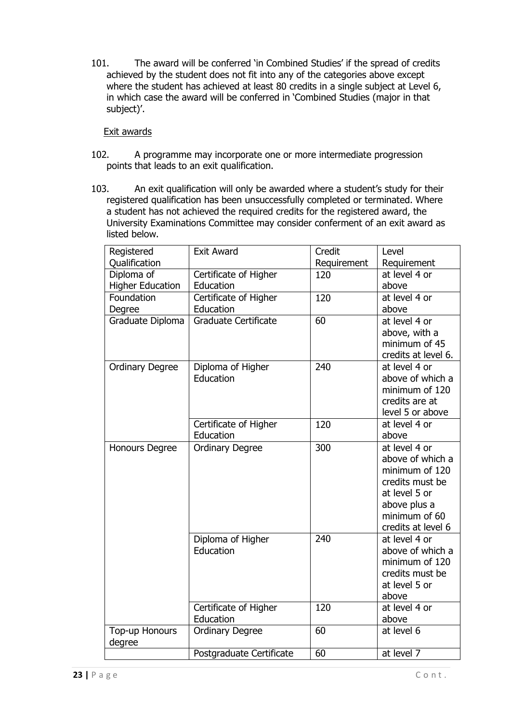101. The award will be conferred 'in Combined Studies' if the spread of credits achieved by the student does not fit into any of the categories above except where the student has achieved at least 80 credits in a single subject at Level 6, in which case the award will be conferred in 'Combined Studies (major in that subject)'.

#### Exit awards

- <span id="page-22-0"></span>102. A programme may incorporate one or more intermediate progression points that leads to an exit qualification.
- 103. An exit qualification will only be awarded where a student's study for their registered qualification has been unsuccessfully completed or terminated. Where a student has not achieved the required credits for the registered award, the University Examinations Committee may consider conferment of an exit award as listed below.

| Registered               | <b>Exit Award</b>           | Credit          | Level               |
|--------------------------|-----------------------------|-----------------|---------------------|
| Qualification            |                             | Requirement     | Requirement         |
| Diploma of               | Certificate of Higher       | 120             | at level 4 or       |
| <b>Higher Education</b>  | Education                   |                 | above               |
| Foundation               | Certificate of Higher       | 120             | at level 4 or       |
| Degree                   | Education                   |                 | above               |
| Graduate Diploma         | <b>Graduate Certificate</b> | 60              | at level 4 or       |
|                          |                             |                 | above, with a       |
|                          |                             |                 | minimum of 45       |
|                          |                             |                 | credits at level 6. |
| <b>Ordinary Degree</b>   | Diploma of Higher           | 240             | at level 4 or       |
|                          | Education                   |                 | above of which a    |
|                          |                             |                 | minimum of 120      |
|                          |                             |                 | credits are at      |
|                          |                             |                 | level 5 or above    |
|                          | Certificate of Higher       | 120             | at level 4 or       |
|                          | Education                   |                 | above               |
| Honours Degree           | <b>Ordinary Degree</b>      | 300             | at level 4 or       |
|                          |                             |                 | above of which a    |
|                          |                             |                 | minimum of 120      |
|                          |                             |                 | credits must be     |
|                          |                             |                 | at level 5 or       |
|                          |                             |                 | above plus a        |
|                          |                             |                 | minimum of 60       |
|                          |                             |                 | credits at level 6  |
|                          | Diploma of Higher           | 240             | at level 4 or       |
|                          | Education                   |                 | above of which a    |
|                          |                             |                 | minimum of 120      |
|                          |                             |                 | credits must be     |
|                          |                             |                 | at level 5 or       |
|                          |                             |                 | above               |
|                          | Certificate of Higher       | 120             | at level 4 or       |
|                          | Education                   |                 | above               |
| Top-up Honours<br>degree | <b>Ordinary Degree</b>      | $\overline{60}$ | at level 6          |
|                          | Postgraduate Certificate    | 60              | at level 7          |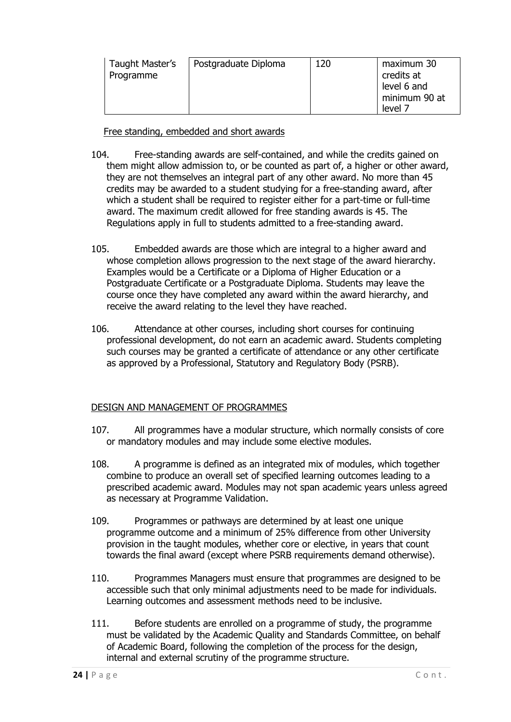| Taught Master's<br>Programme | Postgraduate Diploma | 120 | maximum 30<br>credits at<br>level 6 and<br>minimum 90 at<br>level 7 |
|------------------------------|----------------------|-----|---------------------------------------------------------------------|
|------------------------------|----------------------|-----|---------------------------------------------------------------------|

Free standing, embedded and short awards

- <span id="page-23-0"></span>104. Free-standing awards are self-contained, and while the credits gained on them might allow admission to, or be counted as part of, a higher or other award, they are not themselves an integral part of any other award. No more than 45 credits may be awarded to a student studying for a free-standing award, after which a student shall be required to register either for a part-time or full-time award. The maximum credit allowed for free standing awards is 45. The Regulations apply in full to students admitted to a free-standing award.
- 105. Embedded awards are those which are integral to a higher award and whose completion allows progression to the next stage of the award hierarchy. Examples would be a Certificate or a Diploma of Higher Education or a Postgraduate Certificate or a Postgraduate Diploma. Students may leave the course once they have completed any award within the award hierarchy, and receive the award relating to the level they have reached.
- 106. Attendance at other courses, including short courses for continuing professional development, do not earn an academic award. Students completing such courses may be granted a certificate of attendance or any other certificate as approved by a Professional, Statutory and Regulatory Body (PSRB).

#### <span id="page-23-1"></span>DESIGN AND MANAGEMENT OF PROGRAMMES

- 107. All programmes have a modular structure, which normally consists of core or mandatory modules and may include some elective modules.
- 108. A programme is defined as an integrated mix of modules, which together combine to produce an overall set of specified learning outcomes leading to a prescribed academic award. Modules may not span academic years unless agreed as necessary at Programme Validation.
- 109. Programmes or pathways are determined by at least one unique programme outcome and a minimum of 25% difference from other University provision in the taught modules, whether core or elective, in years that count towards the final award (except where PSRB requirements demand otherwise).
- 110. Programmes Managers must ensure that programmes are designed to be accessible such that only minimal adjustments need to be made for individuals. Learning outcomes and assessment methods need to be inclusive.
- 111. Before students are enrolled on a programme of study, the programme must be validated by the Academic Quality and Standards Committee, on behalf of Academic Board, following the completion of the process for the design, internal and external scrutiny of the programme structure.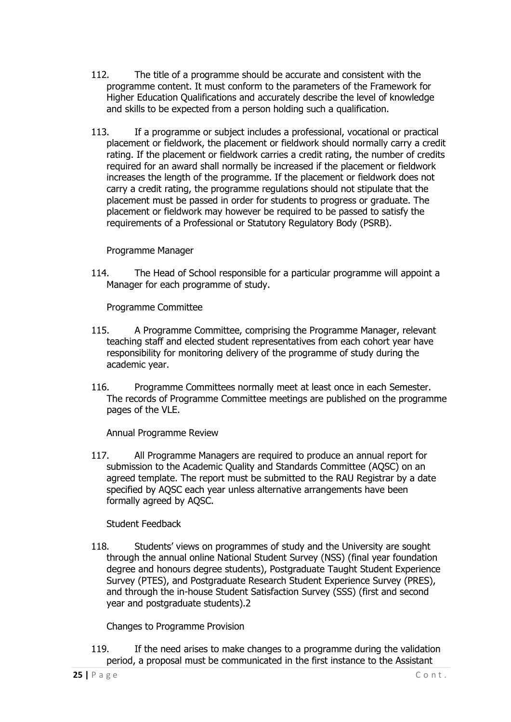- 112. The title of a programme should be accurate and consistent with the programme content. It must conform to the parameters of the Framework for Higher Education Qualifications and accurately describe the level of knowledge and skills to be expected from a person holding such a qualification.
- 113. If a programme or subject includes a professional, vocational or practical placement or fieldwork, the placement or fieldwork should normally carry a credit rating. If the placement or fieldwork carries a credit rating, the number of credits required for an award shall normally be increased if the placement or fieldwork increases the length of the programme. If the placement or fieldwork does not carry a credit rating, the programme regulations should not stipulate that the placement must be passed in order for students to progress or graduate. The placement or fieldwork may however be required to be passed to satisfy the requirements of a Professional or Statutory Regulatory Body (PSRB).

#### Programme Manager

<span id="page-24-0"></span>114. The Head of School responsible for a particular programme will appoint a Manager for each programme of study.

Programme Committee

- <span id="page-24-1"></span>115. A Programme Committee, comprising the Programme Manager, relevant teaching staff and elected student representatives from each cohort year have responsibility for monitoring delivery of the programme of study during the academic year.
- 116. Programme Committees normally meet at least once in each Semester. The records of Programme Committee meetings are published on the programme pages of the VLE.

Annual Programme Review

<span id="page-24-2"></span>117. All Programme Managers are required to produce an annual report for submission to the Academic Quality and Standards Committee (AQSC) on an agreed template. The report must be submitted to the RAU Registrar by a date specified by AQSC each year unless alternative arrangements have been formally agreed by AQSC.

Student Feedback

<span id="page-24-3"></span>118. Students' views on programmes of study and the University are sought through the annual online National Student Survey (NSS) (final year foundation degree and honours degree students), Postgraduate Taught Student Experience Survey (PTES), and Postgraduate Research Student Experience Survey (PRES), and through the in-house Student Satisfaction Survey (SSS) (first and second year and postgraduate students).2

Changes to Programme Provision

<span id="page-24-4"></span>119. If the need arises to make changes to a programme during the validation period, a proposal must be communicated in the first instance to the Assistant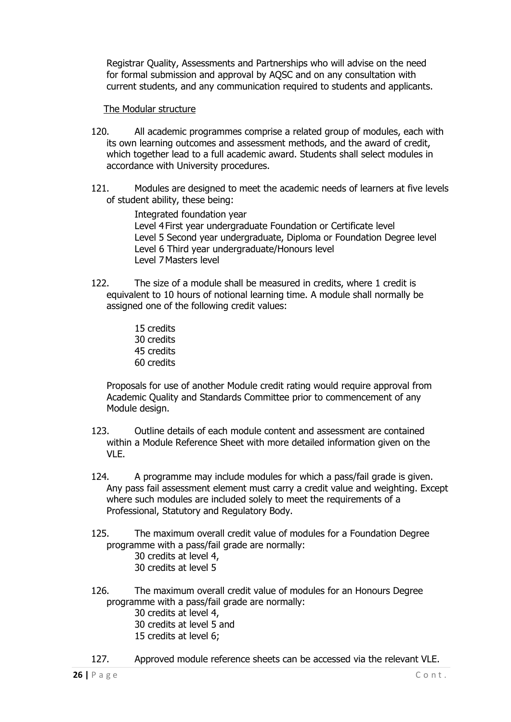Registrar Quality, Assessments and Partnerships who will advise on the need for formal submission and approval by AQSC and on any consultation with current students, and any communication required to students and applicants.

#### The Modular structure

- <span id="page-25-0"></span>120. All academic programmes comprise a related group of modules, each with its own learning outcomes and assessment methods, and the award of credit, which together lead to a full academic award. Students shall select modules in accordance with University procedures.
- 121. Modules are designed to meet the academic needs of learners at five levels of student ability, these being:

Integrated foundation year Level 4First year undergraduate Foundation or Certificate level Level 5 Second year undergraduate, Diploma or Foundation Degree level Level 6 Third year undergraduate/Honours level Level 7Masters level

- 122. The size of a module shall be measured in credits, where 1 credit is equivalent to 10 hours of notional learning time. A module shall normally be assigned one of the following credit values:
	- 15 credits 30 credits 45 credits 60 credits

Proposals for use of another Module credit rating would require approval from Academic Quality and Standards Committee prior to commencement of any Module design.

- 123. Outline details of each module content and assessment are contained within a Module Reference Sheet with more detailed information given on the VLE.
- 124. A programme may include modules for which a pass/fail grade is given. Any pass fail assessment element must carry a credit value and weighting. Except where such modules are included solely to meet the requirements of a Professional, Statutory and Regulatory Body.
- 125. The maximum overall credit value of modules for a Foundation Degree programme with a pass/fail grade are normally:
	- 30 credits at level 4, 30 credits at level 5
- 126. The maximum overall credit value of modules for an Honours Degree programme with a pass/fail grade are normally:
	- 30 credits at level 4, 30 credits at level 5 and 15 credits at level 6;
- 127. Approved module reference sheets can be accessed via the relevant VLE.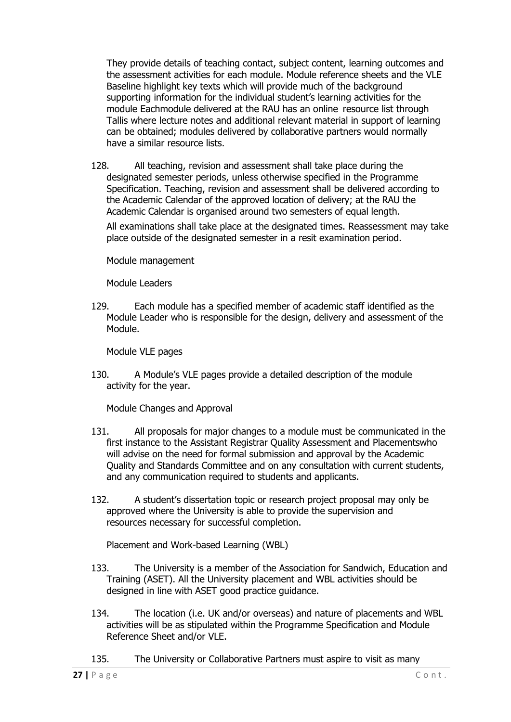They provide details of teaching contact, subject content, learning outcomes and the assessment activities for each module. Module reference sheets and the VLE Baseline highlight key texts which will provide much of the background supporting information for the individual student's learning activities for the module Eachmodule delivered at the RAU has an online resource list through Tallis where lecture notes and additional relevant material in support of learning can be obtained; modules delivered by collaborative partners would normally have a similar resource lists.

128. All teaching, revision and assessment shall take place during the designated semester periods, unless otherwise specified in the Programme Specification. Teaching, revision and assessment shall be delivered according to the Academic Calendar of the approved location of delivery; at the RAU the Academic Calendar is organised around two semesters of equal length.

All examinations shall take place at the designated times. Reassessment may take place outside of the designated semester in a resit examination period.

<span id="page-26-0"></span>Module management

Module Leaders

<span id="page-26-1"></span>129. Each module has a specified member of academic staff identified as the Module Leader who is responsible for the design, delivery and assessment of the Module.

Module VLE pages

<span id="page-26-2"></span>130. A Module's VLE pages provide a detailed description of the module activity for the year.

Module Changes and Approval

- <span id="page-26-3"></span>131. All proposals for major changes to a module must be communicated in the first instance to the Assistant Registrar Quality Assessment and Placementswho will advise on the need for formal submission and approval by the Academic Quality and Standards Committee and on any consultation with current students, and any communication required to students and applicants.
- 132. A student's dissertation topic or research project proposal may only be approved where the University is able to provide the supervision and resources necessary for successful completion.

Placement and Work-based Learning (WBL)

- <span id="page-26-4"></span>133. The University is a member of the Association for Sandwich, Education and Training (ASET). All the University placement and WBL activities should be designed in line with ASET good practice guidance.
- 134. The location (i.e. UK and/or overseas) and nature of placements and WBL activities will be as stipulated within the Programme Specification and Module Reference Sheet and/or VLE.
- 135. The University or Collaborative Partners must aspire to visit as many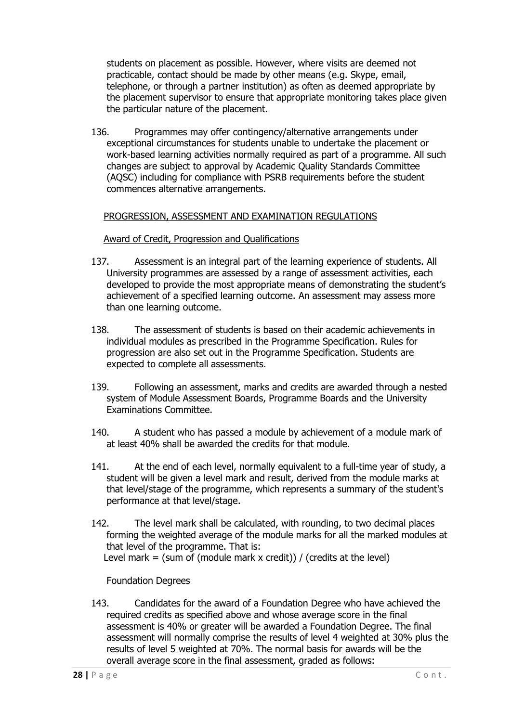students on placement as possible. However, where visits are deemed not practicable, contact should be made by other means (e.g. Skype, email, telephone, or through a partner institution) as often as deemed appropriate by the placement supervisor to ensure that appropriate monitoring takes place given the particular nature of the placement.

136. Programmes may offer contingency/alternative arrangements under exceptional circumstances for students unable to undertake the placement or work-based learning activities normally required as part of a programme. All such changes are subject to approval by Academic Quality Standards Committee (AQSC) including for compliance with PSRB requirements before the student commences alternative arrangements.

#### <span id="page-27-0"></span>PROGRESSION, ASSESSMENT AND EXAMINATION REGULATIONS

#### Award of Credit, Progression and Qualifications

- <span id="page-27-1"></span>137. Assessment is an integral part of the learning experience of students. All University programmes are assessed by a range of assessment activities, each developed to provide the most appropriate means of demonstrating the student's achievement of a specified learning outcome. An assessment may assess more than one learning outcome.
- 138. The assessment of students is based on their academic achievements in individual modules as prescribed in the Programme Specification. Rules for progression are also set out in the Programme Specification. Students are expected to complete all assessments.
- 139. Following an assessment, marks and credits are awarded through a nested system of Module Assessment Boards, Programme Boards and the University Examinations Committee.
- 140. A student who has passed a module by achievement of a module mark of at least 40% shall be awarded the credits for that module.
- 141. At the end of each level, normally equivalent to a full-time year of study, a student will be given a level mark and result, derived from the module marks at that level/stage of the programme, which represents a summary of the student's performance at that level/stage.
- 142. The level mark shall be calculated, with rounding, to two decimal places forming the weighted average of the module marks for all the marked modules at that level of the programme. That is: Level mark = (sum of (module mark x credit)) / (credits at the level)

#### Foundation Degrees

<span id="page-27-2"></span>143. Candidates for the award of a Foundation Degree who have achieved the required credits as specified above and whose average score in the final assessment is 40% or greater will be awarded a Foundation Degree. The final assessment will normally comprise the results of level 4 weighted at 30% plus the results of level 5 weighted at 70%. The normal basis for awards will be the overall average score in the final assessment, graded as follows: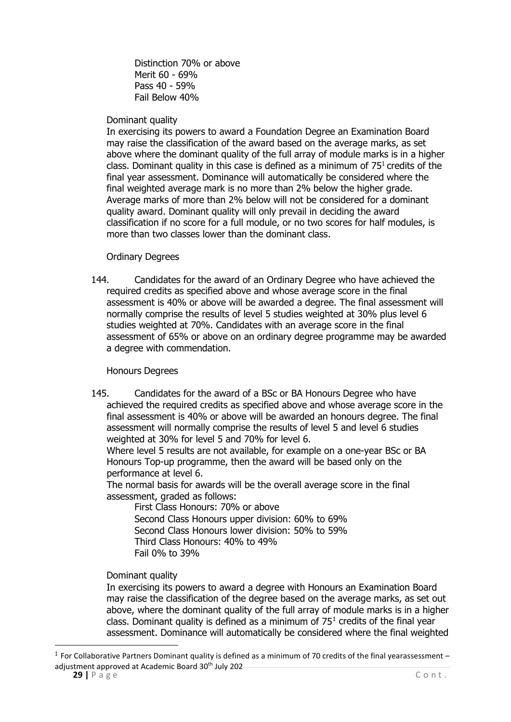Distinction 70% or above Merit 60 - 69% Pass 40 - 59% Fail Below 40%

#### Dominant quality

In exercising its powers to award a Foundation Degree an Examination Board may raise the classification of the award based on the average marks, as set above where the dominant quality of the full array of module marks is in a higher class. Dominant quality in this case is defined as a minimum of  $75<sup>1</sup>$  credits of the final year assessment. Dominance will automatically be considered where the final weighted average mark is no more than 2% below the higher grade. Average marks of more than 2% below will not be considered for a dominant quality award. Dominant quality will only prevail in deciding the award classification if no score for a full module, or no two scores for half modules, is more than two classes lower than the dominant class.

#### Ordinary Degrees

<span id="page-28-0"></span>144. Candidates for the award of an Ordinary Degree who have achieved the required credits as specified above and whose average score in the final assessment is 40% or above will be awarded a degree. The final assessment will normally comprise the results of level 5 studies weighted at 30% plus level 6 studies weighted at 70%. Candidates with an average score in the final assessment of 65% or above on an ordinary degree programme may be awarded a degree with commendation.

#### Honours Degrees

<span id="page-28-1"></span>145. Candidates for the award of a BSc or BA Honours Degree who have achieved the required credits as specified above and whose average score in the final assessment is 40% or above will be awarded an honours degree. The final assessment will normally comprise the results of level 5 and level 6 studies weighted at 30% for level 5 and 70% for level 6.

Where level 5 results are not available, for example on a one-year BSc or BA Honours Top-up programme, then the award will be based only on the performance at level 6.

The normal basis for awards will be the overall average score in the final assessment, graded as follows:

First Class Honours: 70% or above Second Class Honours upper division: 60% to 69% Second Class Honours lower division: 50% to 59% Third Class Honours: 40% to 49% Fail 0% to 39%

#### Dominant quality

In exercising its powers to award a degree with Honours an Examination Board may raise the classification of the degree based on the average marks, as set out above, where the dominant quality of the full array of module marks is in a higher class. Dominant quality is defined as a minimum of  $75<sup>1</sup>$  $75<sup>1</sup>$  $75<sup>1</sup>$  credits of the final year assessment. Dominance will automatically be considered where the final weighted

<span id="page-28-2"></span> $1$  For Collaborative Partners Dominant quality is defined as a minimum of 70 credits of the final yearassessment – adjustment approved at Academic Board 30<sup>th</sup> July 202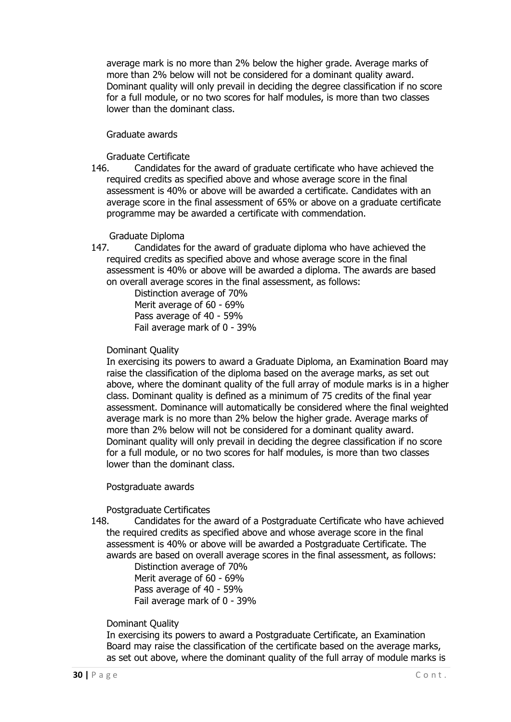average mark is no more than 2% below the higher grade. Average marks of more than 2% below will not be considered for a dominant quality award. Dominant quality will only prevail in deciding the degree classification if no score for a full module, or no two scores for half modules, is more than two classes lower than the dominant class.

#### Graduate awards

Graduate Certificate<br>146. Candidates fo Candidates for the award of graduate certificate who have achieved the required credits as specified above and whose average score in the final assessment is 40% or above will be awarded a certificate. Candidates with an average score in the final assessment of 65% or above on a graduate certificate programme may be awarded a certificate with commendation.

#### Graduate Diploma

147. Candidates for the award of graduate diploma who have achieved the required credits as specified above and whose average score in the final assessment is 40% or above will be awarded a diploma. The awards are based on overall average scores in the final assessment, as follows:

Distinction average of 70% Merit average of 60 - 69% Pass average of 40 - 59% Fail average mark of 0 - 39%

#### Dominant Quality

In exercising its powers to award a Graduate Diploma, an Examination Board may raise the classification of the diploma based on the average marks, as set out above, where the dominant quality of the full array of module marks is in a higher class. Dominant quality is defined as a minimum of 75 credits of the final year assessment. Dominance will automatically be considered where the final weighted average mark is no more than 2% below the higher grade. Average marks of more than 2% below will not be considered for a dominant quality award. Dominant quality will only prevail in deciding the degree classification if no score for a full module, or no two scores for half modules, is more than two classes lower than the dominant class.

#### Postgraduate awards

<span id="page-29-0"></span>Postgraduate Certificates<br>148. Candidates for the Candidates for the award of a Postgraduate Certificate who have achieved the required credits as specified above and whose average score in the final assessment is 40% or above will be awarded a Postgraduate Certificate. The awards are based on overall average scores in the final assessment, as follows:

Distinction average of 70% Merit average of 60 - 69% Pass average of 40 - 59% Fail average mark of 0 - 39%

#### Dominant Quality

In exercising its powers to award a Postgraduate Certificate, an Examination Board may raise the classification of the certificate based on the average marks, as set out above, where the dominant quality of the full array of module marks is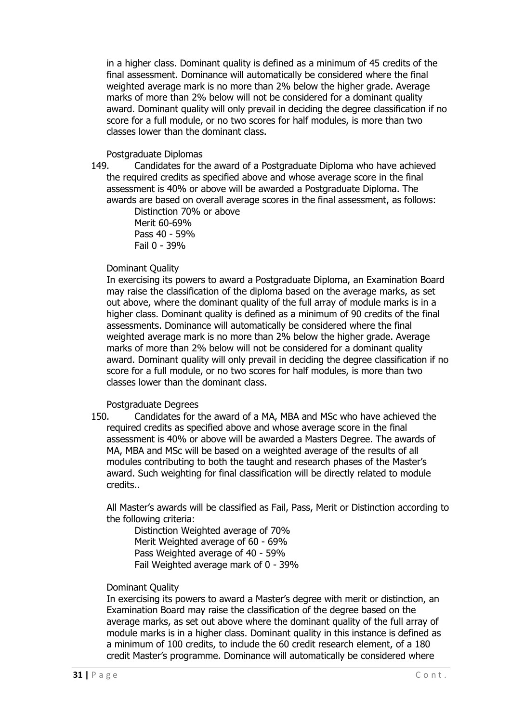in a higher class. Dominant quality is defined as a minimum of 45 credits of the final assessment. Dominance will automatically be considered where the final weighted average mark is no more than 2% below the higher grade. Average marks of more than 2% below will not be considered for a dominant quality award. Dominant quality will only prevail in deciding the degree classification if no score for a full module, or no two scores for half modules, is more than two classes lower than the dominant class.

## Postgraduate Diplomas<br>149. Candidates for th

Candidates for the award of a Postgraduate Diploma who have achieved the required credits as specified above and whose average score in the final assessment is 40% or above will be awarded a Postgraduate Diploma. The awards are based on overall average scores in the final assessment, as follows:

Distinction 70% or above Merit 60-69% Pass 40 - 59% Fail 0 - 39%

#### Dominant Quality

In exercising its powers to award a Postgraduate Diploma, an Examination Board may raise the classification of the diploma based on the average marks, as set out above, where the dominant quality of the full array of module marks is in a higher class. Dominant quality is defined as a minimum of 90 credits of the final assessments. Dominance will automatically be considered where the final weighted average mark is no more than 2% below the higher grade. Average marks of more than 2% below will not be considered for a dominant quality award. Dominant quality will only prevail in deciding the degree classification if no score for a full module, or no two scores for half modules, is more than two classes lower than the dominant class.

Postgraduate Degrees

150. Candidates for the award of a MA, MBA and MSc who have achieved the required credits as specified above and whose average score in the final assessment is 40% or above will be awarded a Masters Degree. The awards of MA, MBA and MSc will be based on a weighted average of the results of all modules contributing to both the taught and research phases of the Master's award. Such weighting for final classification will be directly related to module credits..

All Master's awards will be classified as Fail, Pass, Merit or Distinction according to the following criteria:

Distinction Weighted average of 70% Merit Weighted average of 60 - 69% Pass Weighted average of 40 - 59% Fail Weighted average mark of 0 - 39%

#### Dominant Quality

In exercising its powers to award a Master's degree with merit or distinction, an Examination Board may raise the classification of the degree based on the average marks, as set out above where the dominant quality of the full array of module marks is in a higher class. Dominant quality in this instance is defined as a minimum of 100 credits, to include the 60 credit research element, of a 180 credit Master's programme. Dominance will automatically be considered where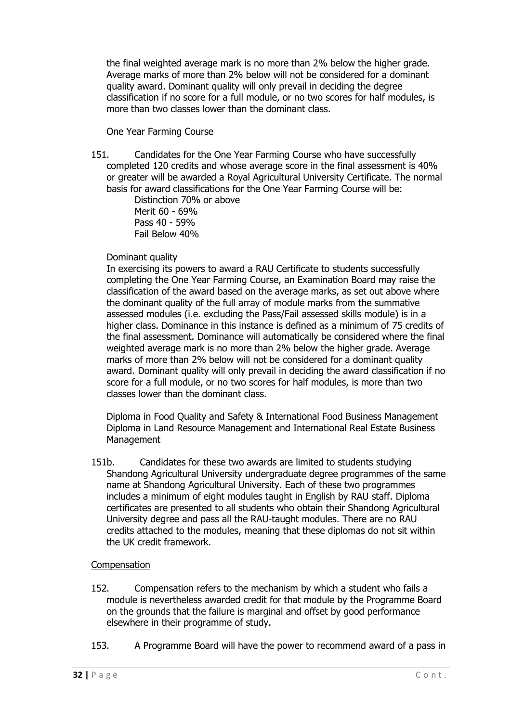the final weighted average mark is no more than 2% below the higher grade. Average marks of more than 2% below will not be considered for a dominant quality award. Dominant quality will only prevail in deciding the degree classification if no score for a full module, or no two scores for half modules, is more than two classes lower than the dominant class.

#### One Year Farming Course

<span id="page-31-0"></span>151. Candidates for the One Year Farming Course who have successfully completed 120 credits and whose average score in the final assessment is 40% or greater will be awarded a Royal Agricultural University Certificate. The normal basis for award classifications for the One Year Farming Course will be:

Distinction 70% or above Merit 60 - 69% Pass 40 - 59% Fail Below 40%

#### Dominant quality

In exercising its powers to award a RAU Certificate to students successfully completing the One Year Farming Course, an Examination Board may raise the classification of the award based on the average marks, as set out above where the dominant quality of the full array of module marks from the summative assessed modules (i.e. excluding the Pass/Fail assessed skills module) is in a higher class. Dominance in this instance is defined as a minimum of 75 credits of the final assessment. Dominance will automatically be considered where the final weighted average mark is no more than 2% below the higher grade. Average marks of more than 2% below will not be considered for a dominant quality award. Dominant quality will only prevail in deciding the award classification if no score for a full module, or no two scores for half modules, is more than two classes lower than the dominant class.

Diploma in Food Quality and Safety & International Food Business Management Diploma in Land Resource Management and International Real Estate Business Management

151b. Candidates for these two awards are limited to students studying Shandong Agricultural University undergraduate degree programmes of the same name at Shandong Agricultural University. Each of these two programmes includes a minimum of eight modules taught in English by RAU staff. Diploma certificates are presented to all students who obtain their Shandong Agricultural University degree and pass all the RAU-taught modules. There are no RAU credits attached to the modules, meaning that these diplomas do not sit within the UK credit framework.

#### <span id="page-31-1"></span>Compensation

- 152. Compensation refers to the mechanism by which a student who fails a module is nevertheless awarded credit for that module by the Programme Board on the grounds that the failure is marginal and offset by good performance elsewhere in their programme of study.
- 153. A Programme Board will have the power to recommend award of a pass in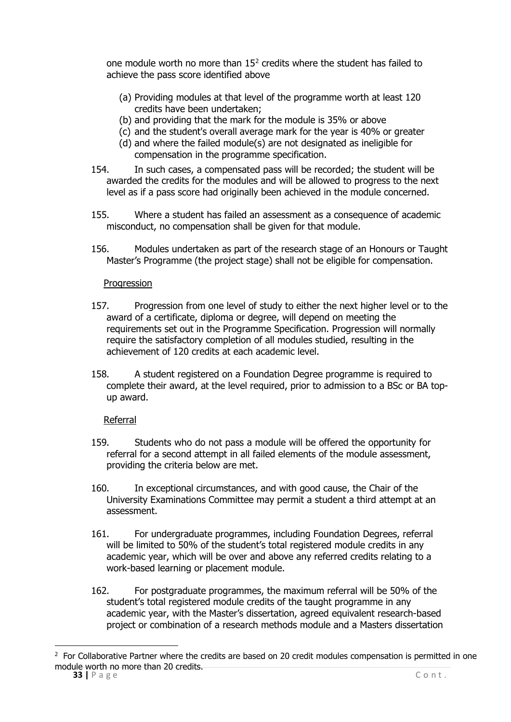one module worth no more than  $15<sup>2</sup>$  $15<sup>2</sup>$  $15<sup>2</sup>$  credits where the student has failed to achieve the pass score identified above

- (a) Providing modules at that level of the programme worth at least 120 credits have been undertaken;
- (b) and providing that the mark for the module is 35% or above
- (c) and the student's overall average mark for the year is 40% or greater
- (d) and where the failed module(s) are not designated as ineligible for compensation in the programme specification.
- 154. In such cases, a compensated pass will be recorded; the student will be awarded the credits for the modules and will be allowed to progress to the next level as if a pass score had originally been achieved in the module concerned.
- 155. Where a student has failed an assessment as a consequence of academic misconduct, no compensation shall be given for that module.
- 156. Modules undertaken as part of the research stage of an Honours or Taught Master's Programme (the project stage) shall not be eligible for compensation.

#### Progression

- <span id="page-32-0"></span>157. Progression from one level of study to either the next higher level or to the award of a certificate, diploma or degree, will depend on meeting the requirements set out in the Programme Specification. Progression will normally require the satisfactory completion of all modules studied, resulting in the achievement of 120 credits at each academic level.
- 158. A student registered on a Foundation Degree programme is required to complete their award, at the level required, prior to admission to a BSc or BA topup award.

#### Referral

- <span id="page-32-1"></span>159. Students who do not pass a module will be offered the opportunity for referral for a second attempt in all failed elements of the module assessment, providing the criteria below are met.
- 160. In exceptional circumstances, and with good cause, the Chair of the University Examinations Committee may permit a student a third attempt at an assessment.
- 161. For undergraduate programmes, including Foundation Degrees, referral will be limited to 50% of the student's total registered module credits in any academic year, which will be over and above any referred credits relating to a work-based learning or placement module.
- 162. For postgraduate programmes, the maximum referral will be 50% of the student's total registered module credits of the taught programme in any academic year, with the Master's dissertation, agreed equivalent research-based project or combination of a research methods module and a Masters dissertation

<span id="page-32-2"></span>**<sup>33</sup>** | P a g e C o n t .  $2$  For Collaborative Partner where the credits are based on 20 credit modules compensation is permitted in one module worth no more than 20 credits.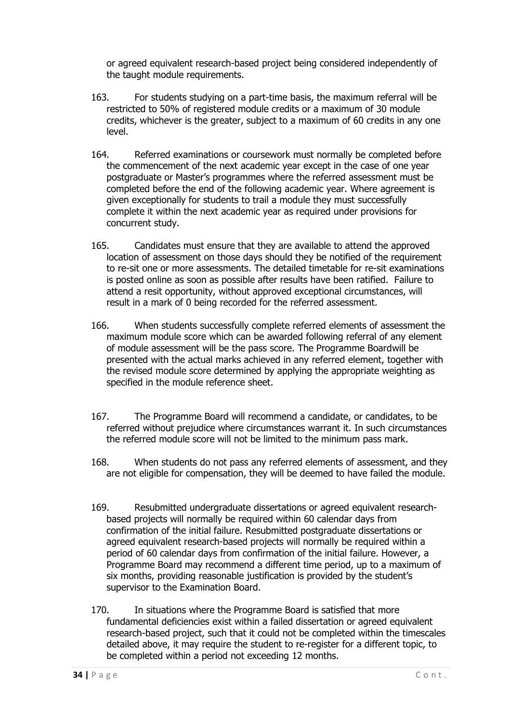or agreed equivalent research-based project being considered independently of the taught module requirements.

- 163. For students studying on a part-time basis, the maximum referral will be restricted to 50% of registered module credits or a maximum of 30 module credits, whichever is the greater, subject to a maximum of 60 credits in any one level.
- 164. Referred examinations or coursework must normally be completed before the commencement of the next academic year except in the case of one year postgraduate or Master's programmes where the referred assessment must be completed before the end of the following academic year. Where agreement is given exceptionally for students to trail a module they must successfully complete it within the next academic year as required under provisions for concurrent study.
- 165. Candidates must ensure that they are available to attend the approved location of assessment on those days should they be notified of the requirement to re-sit one or more assessments. The detailed timetable for re-sit examinations is posted online as soon as possible after results have been ratified. Failure to attend a resit opportunity, without approved exceptional circumstances, will result in a mark of 0 being recorded for the referred assessment.
- 166. When students successfully complete referred elements of assessment the maximum module score which can be awarded following referral of any element of module assessment will be the pass score. The Programme Board will be presented with the actual marks achieved in any referred element, together with the revised module score determined by applying the appropriate weighting as specified in the module reference sheet.
- 167. The Programme Board will recommend a candidate, or candidates, to be referred without prejudice where circumstances warrant it. In such circumstances the referred module score will not be limited to the minimum pass mark.
- 168. When students do not pass any referred elements of assessment, and they are not eligible for compensation, they will be deemed to have failed the module.
- 169. Resubmitted undergraduate dissertations or agreed equivalent researchbased projects will normally be required within 60 calendar days from confirmation of the initial failure. Resubmitted postgraduate dissertations or agreed equivalent research-based projects will normally be required within a period of 60 calendar days from confirmation of the initial failure. However, a Programme Board may recommend a different time period, up to a maximum of six months, providing reasonable justification is provided by the student's supervisor to the Examination Board.
- 170. In situations where the Programme Board is satisfied that more fundamental deficiencies exist within a failed dissertation or agreed equivalent research-based project, such that it could not be completed within the timescales detailed above, it may require the student to re-register for a different topic, to be completed within a period not exceeding 12 months.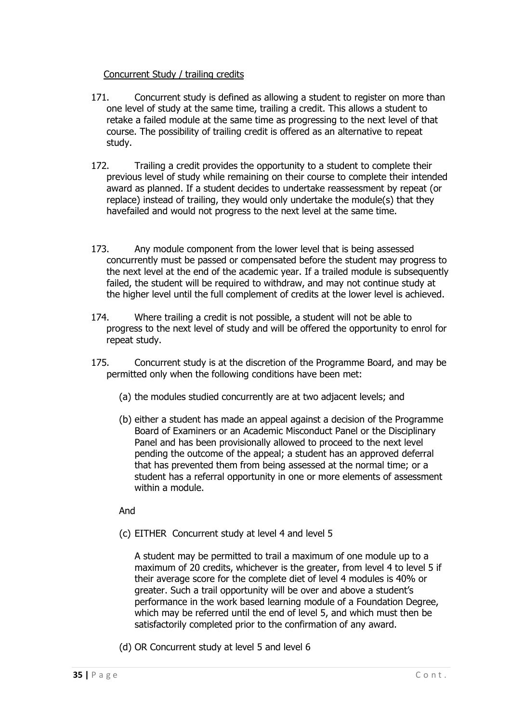#### Concurrent Study / trailing credits

- <span id="page-34-0"></span>171. Concurrent study is defined as allowing a student to register on more than one level of study at the same time, trailing a credit. This allows a student to retake a failed module at the same time as progressing to the next level of that course. The possibility of trailing credit is offered as an alternative to repeat study.
- 172. Trailing a credit provides the opportunity to a student to complete their previous level of study while remaining on their course to complete their intended award as planned. If a student decides to undertake reassessment by repeat (or replace) instead of trailing, they would only undertake the module(s) that they have failed and would not progress to the next level at the same time.
- 173. Any module component from the lower level that is being assessed concurrently must be passed or compensated before the student may progress to the next level at the end of the academic year. If a trailed module is subsequently failed, the student will be required to withdraw, and may not continue study at the higher level until the full complement of credits at the lower level is achieved.
- 174. Where trailing a credit is not possible, a student will not be able to progress to the next level of study and will be offered the opportunity to enrol for repeat study.
- 175. Concurrent study is at the discretion of the Programme Board, and may be permitted only when the following conditions have been met:
	- (a) the modules studied concurrently are at two adjacent levels; and
	- (b) either a student has made an appeal against a decision of the Programme Board of Examiners or an Academic Misconduct Panel or the Disciplinary Panel and has been provisionally allowed to proceed to the next level pending the outcome of the appeal; a student has an approved deferral that has prevented them from being assessed at the normal time; or a student has a referral opportunity in one or more elements of assessment within a module.

And

(c) EITHER Concurrent study at level 4 and level 5

A student may be permitted to trail a maximum of one module up to a maximum of 20 credits, whichever is the greater, from level 4 to level 5 if their average score for the complete diet of level 4 modules is 40% or greater. Such a trail opportunity will be over and above a student's performance in the work based learning module of a Foundation Degree, which may be referred until the end of level 5, and which must then be satisfactorily completed prior to the confirmation of any award.

(d) OR Concurrent study at level 5 and level 6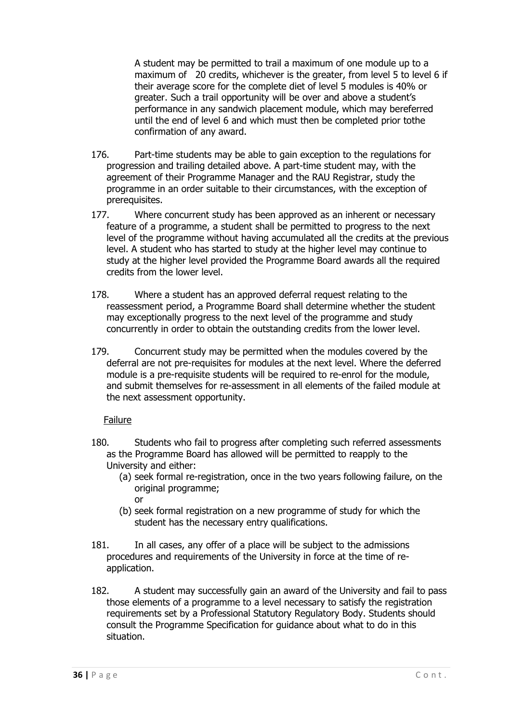A student may be permitted to trail a maximum of one module up to a maximum of 20 credits, whichever is the greater, from level 5 to level 6 if their average score for the complete diet of level 5 modules is 40% or greater. Such a trail opportunity will be over and above a student's performance in any sandwich placement module, which may bereferred until the end of level 6 and which must then be completed prior tothe confirmation of any award.

- 176. Part-time students may be able to gain exception to the regulations for progression and trailing detailed above. A part-time student may, with the agreement of their Programme Manager and the RAU Registrar, study the programme in an order suitable to their circumstances, with the exception of prerequisites.
- 177. Where concurrent study has been approved as an inherent or necessary feature of a programme, a student shall be permitted to progress to the next level of the programme without having accumulated all the credits at the previous level. A student who has started to study at the higher level may continue to study at the higher level provided the Programme Board awards all the required credits from the lower level.
- 178. Where a student has an approved deferral request relating to the reassessment period, a Programme Board shall determine whether the student may exceptionally progress to the next level of the programme and study concurrently in order to obtain the outstanding credits from the lower level.
- 179. Concurrent study may be permitted when the modules covered by the deferral are not pre-requisites for modules at the next level. Where the deferred module is a pre-requisite students will be required to re-enrol for the module, and submit themselves for re-assessment in all elements of the failed module at the next assessment opportunity.

#### Failure

- <span id="page-35-0"></span>180. Students who fail to progress after completing such referred assessments as the Programme Board has allowed will be permitted to reapply to the University and either:
	- (a) seek formal re-registration, once in the two years following failure, on the original programme; or
	- (b) seek formal registration on a new programme of study for which the student has the necessary entry qualifications.
- 181. In all cases, any offer of a place will be subject to the admissions procedures and requirements of the University in force at the time of reapplication.
- 182. A student may successfully gain an award of the University and fail to pass those elements of a programme to a level necessary to satisfy the registration requirements set by a Professional Statutory Regulatory Body. Students should consult the Programme Specification for guidance about what to do in this situation.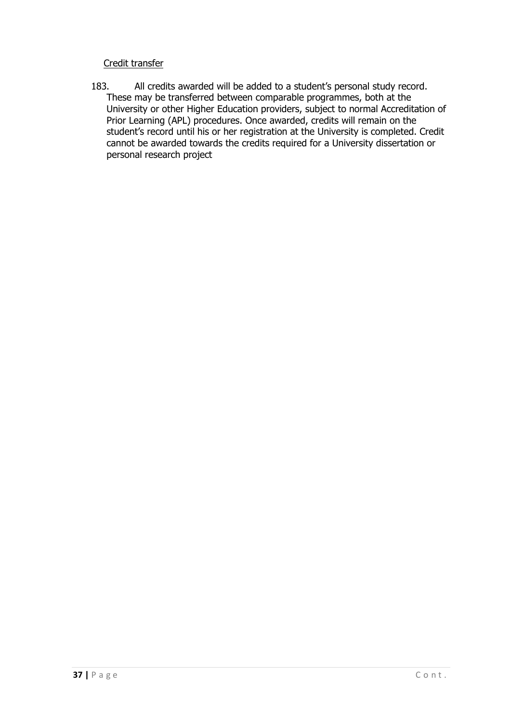#### Credit transfer

<span id="page-36-0"></span>183. All credits awarded will be added to a student's personal study record. These may be transferred between comparable programmes, both at the University or other Higher Education providers, subject to normal Accreditation of Prior Learning (APL) procedures. Once awarded, credits will remain on the student's record until his or her registration at the University is completed. Credit cannot be awarded towards the credits required for a University dissertation or personal research project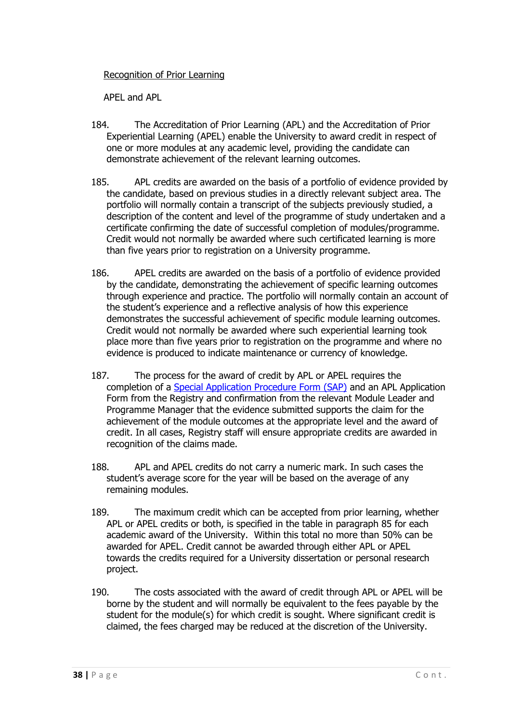#### <span id="page-37-0"></span>Recognition of Prior Learning

APEL and APL

- <span id="page-37-1"></span>184. The Accreditation of Prior Learning (APL) and the Accreditation of Prior Experiential Learning (APEL) enable the University to award credit in respect of one or more modules at any academic level, providing the candidate can demonstrate achievement of the relevant learning outcomes.
- 185. APL credits are awarded on the basis of a portfolio of evidence provided by the candidate, based on previous studies in a directly relevant subject area. The portfolio will normally contain a transcript of the subjects previously studied, a description of the content and level of the programme of study undertaken and a certificate confirming the date of successful completion of modules/programme. Credit would not normally be awarded where such certificated learning is more than five years prior to registration on a University programme.
- 186. APEL credits are awarded on the basis of a portfolio of evidence provided by the candidate, demonstrating the achievement of specific learning outcomes through experience and practice. The portfolio will normally contain an account of the student's experience and a reflective analysis of how this experience demonstrates the successful achievement of specific module learning outcomes. Credit would not normally be awarded where such experiential learning took place more than five years prior to registration on the programme and where no evidence is produced to indicate maintenance or currency of knowledge.
- 187. The process for the award of credit by APL or APEL requires the completion of a [Special Application Procedure Form \(SAP\)](https://www.rau.ac.uk/about/organisation/public-information/academic-information/academic-policies-and-procedures) and an APL Application Form from the Registry and confirmation from the relevant Module Leader and Programme Manager that the evidence submitted supports the claim for the achievement of the module outcomes at the appropriate level and the award of credit. In all cases, Registry staff will ensure appropriate credits are awarded in recognition of the claims made.
- 188. APL and APEL credits do not carry a numeric mark. In such cases the student's average score for the year will be based on the average of any remaining modules.
- 189. The maximum credit which can be accepted from prior learning, whether APL or APEL credits or both, is specified in the table in paragraph 85 for each academic award of the University. Within this total no more than 50% can be awarded for APEL. Credit cannot be awarded through either APL or APEL towards the credits required for a University dissertation or personal research project.
- 190. The costs associated with the award of credit through APL or APEL will be borne by the student and will normally be equivalent to the fees payable by the student for the module(s) for which credit is sought. Where significant credit is claimed, the fees charged may be reduced at the discretion of the University.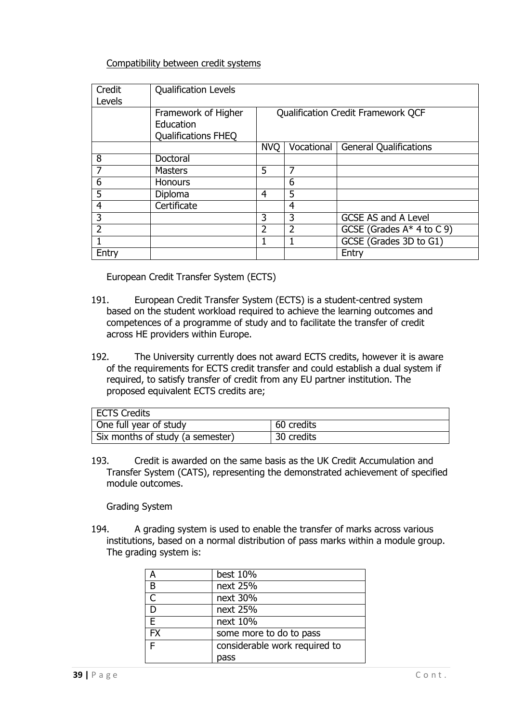#### Compatibility between credit systems

<span id="page-38-0"></span>

| Credit<br>Levels | <b>Qualification Levels</b>                                    |                                           |                |                               |
|------------------|----------------------------------------------------------------|-------------------------------------------|----------------|-------------------------------|
|                  | Framework of Higher<br>Education<br><b>Qualifications FHEQ</b> | <b>Qualification Credit Framework QCF</b> |                |                               |
|                  |                                                                | <b>NVO</b>                                | Vocational     | <b>General Qualifications</b> |
| 8                | Doctoral                                                       |                                           |                |                               |
|                  | <b>Masters</b>                                                 | 5                                         | 7              |                               |
| 6                | <b>Honours</b>                                                 |                                           | 6              |                               |
| 5                | Diploma                                                        | 4                                         | 5              |                               |
| 4                | Certificate                                                    |                                           | 4              |                               |
| 3                |                                                                | 3                                         | 3              | <b>GCSE AS and A Level</b>    |
| $\overline{2}$   |                                                                | $\overline{2}$                            | $\overline{2}$ | GCSE (Grades $A^*$ 4 to C 9)  |
|                  |                                                                | J.                                        |                | GCSE (Grades 3D to G1)        |
| Entry            |                                                                |                                           |                | Entry                         |

European Credit Transfer System (ECTS)

- <span id="page-38-1"></span>191. European Credit Transfer System (ECTS) is a student-centred system based on the student workload required to achieve the learning outcomes and competences of a programme of study and to facilitate the transfer of credit across HE providers within Europe.
- 192. The University currently does not award ECTS credits, however it is aware of the requirements for ECTS credit transfer and could establish a dual system if required, to satisfy transfer of credit from any EU partner institution. The proposed equivalent ECTS credits are;

| <b>ECTS Credits</b>              |            |
|----------------------------------|------------|
| One full year of study           | 60 credits |
| Six months of study (a semester) | 30 credits |

193. Credit is awarded on the same basis as the UK Credit Accumulation and Transfer System (CATS), representing the demonstrated achievement of specified module outcomes.

Grading System

<span id="page-38-2"></span>194. A grading system is used to enable the transfer of marks across various institutions, based on a normal distribution of pass marks within a module group. The grading system is:

| А         | best 10%                      |
|-----------|-------------------------------|
| B         | next 25%                      |
| C         | next 30%                      |
| D         | next 25%                      |
| E         | next 10%                      |
| <b>FX</b> | some more to do to pass       |
| F         | considerable work required to |
|           | pass                          |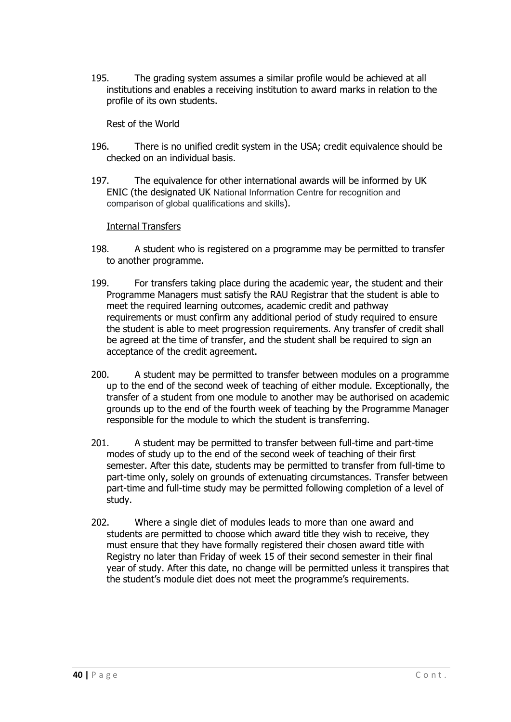195. The grading system assumes a similar profile would be achieved at all institutions and enables a receiving institution to award marks in relation to the profile of its own students.

Rest of the World

- <span id="page-39-0"></span>196. There is no unified credit system in the USA; credit equivalence should be checked on an individual basis.
- 197. The equivalence for other international awards will be informed by UK ENIC (the designated UK National Information Centre for recognition and comparison of global qualifications and skills).

#### Internal Transfers

- <span id="page-39-1"></span>198. A student who is registered on a programme may be permitted to transfer to another programme.
- 199. For transfers taking place during the academic year, the student and their Programme Managers must satisfy the RAU Registrar that the student is able to meet the required learning outcomes, academic credit and pathway requirements or must confirm any additional period of study required to ensure the student is able to meet progression requirements. Any transfer of credit shall be agreed at the time of transfer, and the student shall be required to sign an acceptance of the credit agreement.
- 200. A student may be permitted to transfer between modules on a programme up to the end of the second week of teaching of either module. Exceptionally, the transfer of a student from one module to another may be authorised on academic grounds up to the end of the fourth week of teaching by the Programme Manager responsible for the module to which the student is transferring.
- 201. A student may be permitted to transfer between full-time and part-time modes of study up to the end of the second week of teaching of their first semester. After this date, students may be permitted to transfer from full-time to part-time only, solely on grounds of extenuating circumstances. Transfer between part-time and full-time study may be permitted following completion of a level of study.
- 202. Where a single diet of modules leads to more than one award and students are permitted to choose which award title they wish to receive, they must ensure that they have formally registered their chosen award title with Registry no later than Friday of week 15 of their second semester in their final year of study. After this date, no change will be permitted unless it transpires that the student's module diet does not meet the programme's requirements.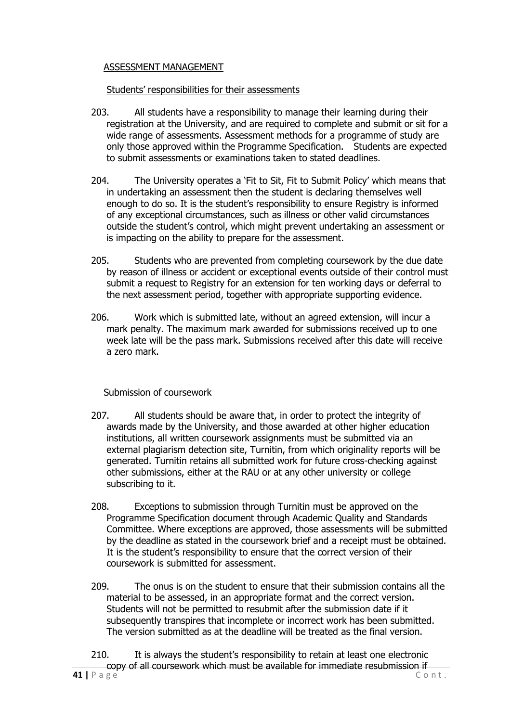#### <span id="page-40-0"></span>ASSESSMENT MANAGEMENT

#### Students' responsibilities for their assessments

- <span id="page-40-1"></span>203. All students have a responsibility to manage their learning during their registration at the University, and are required to complete and submit or sit for a wide range of assessments. Assessment methods for a programme of study are only those approved within the Programme Specification. Students are expected to submit assessments or examinations taken to stated deadlines.
- 204. The University operates a 'Fit to Sit, Fit to Submit Policy' which means that in undertaking an assessment then the student is declaring themselves well enough to do so. It is the student's responsibility to ensure Registry is informed of any exceptional circumstances, such as illness or other valid circumstances outside the student's control, which might prevent undertaking an assessment or is impacting on the ability to prepare for the assessment.
- 205. Students who are prevented from completing coursework by the due date by reason of illness or accident or exceptional events outside of their control must submit a request to Registry for an extension for ten working days or deferral to the next assessment period, together with appropriate supporting evidence.
- 206. Work which is submitted late, without an agreed extension, will incur a mark penalty. The maximum mark awarded for submissions received up to one week late will be the pass mark. Submissions received after this date will receive a zero mark.

Submission of coursework

- <span id="page-40-2"></span>207. All students should be aware that, in order to protect the integrity of awards made by the University, and those awarded at other higher education institutions, all written coursework assignments must be submitted via an external plagiarism detection site, Turnitin, from which originality reports will be generated. Turnitin retains all submitted work for future cross-checking against other submissions, either at the RAU or at any other university or college subscribing to it.
- 208. Exceptions to submission through Turnitin must be approved on the Programme Specification document through Academic Quality and Standards Committee. Where exceptions are approved, those assessments will be submitted by the deadline as stated in the coursework brief and a receipt must be obtained. It is the student's responsibility to ensure that the correct version of their coursework is submitted for assessment.
- 209. The onus is on the student to ensure that their submission contains all the material to be assessed, in an appropriate format and the correct version. Students will not be permitted to resubmit after the submission date if it subsequently transpires that incomplete or incorrect work has been submitted. The version submitted as at the deadline will be treated as the final version.
- **41** | **P** a g e  $\overline{C}$  on t. 210. It is always the student's responsibility to retain at least one electronic copy of all coursework which must be available for immediate resubmission if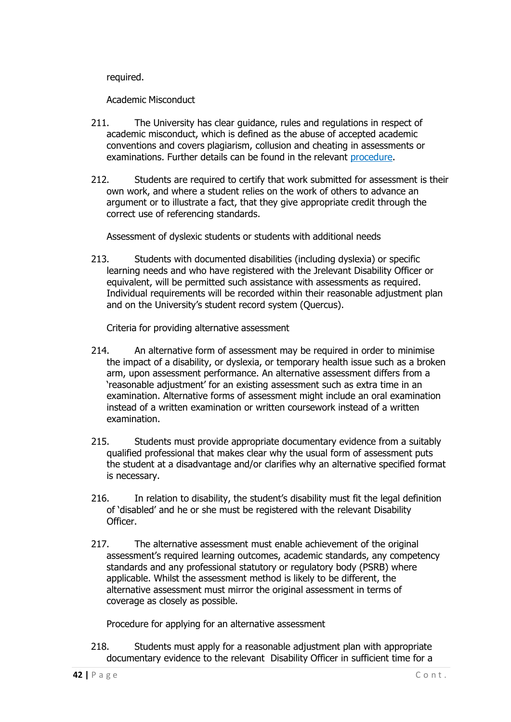required.

Academic Misconduct

- <span id="page-41-0"></span>211. The University has clear guidance, rules and regulations in respect of academic misconduct, which is defined as the abuse of accepted academic conventions and covers plagiarism, collusion and cheating in assessments or examinations. Further details can be found in the relevant [procedure.](https://www.rau.ac.uk/university-life/support-and-wellbeing/student-handbook)
- 212. Students are required to certify that work submitted for assessment is their own work, and where a student relies on the work of others to advance an argument or to illustrate a fact, that they give appropriate credit through the correct use of referencing standards.

Assessment of dyslexic students or students with additional needs

<span id="page-41-1"></span>213. Students with documented disabilities (including dyslexia) or specific learning needs and who have registered with the Jrelevant Disability Officer or equivalent, will be permitted such assistance with assessments as required. Individual requirements will be recorded within their reasonable adjustment plan and on the University's student record system (Quercus).

Criteria for providing alternative assessment

- <span id="page-41-2"></span>214. An alternative form of assessment may be required in order to minimise the impact of a disability, or dyslexia, or temporary health issue such as a broken arm, upon assessment performance. An alternative assessment differs from a 'reasonable adjustment' for an existing assessment such as extra time in an examination. Alternative forms of assessment might include an oral examination instead of a written examination or written coursework instead of a written examination.
- 215. Students must provide appropriate documentary evidence from a suitably qualified professional that makes clear why the usual form of assessment puts the student at a disadvantage and/or clarifies why an alternative specified format is necessary.
- 216. In relation to disability, the student's disability must fit the legal definition of 'disabled' and he or she must be registered with the relevant Disability Officer.
- 217. The alternative assessment must enable achievement of the original assessment's required learning outcomes, academic standards, any competency standards and any professional statutory or regulatory body (PSRB) where applicable. Whilst the assessment method is likely to be different, the alternative assessment must mirror the original assessment in terms of coverage as closely as possible.

Procedure for applying for an alternative assessment

<span id="page-41-3"></span>218. Students must apply for a reasonable adjustment plan with appropriate documentary evidence to the relevant Disability Officer in sufficient time for a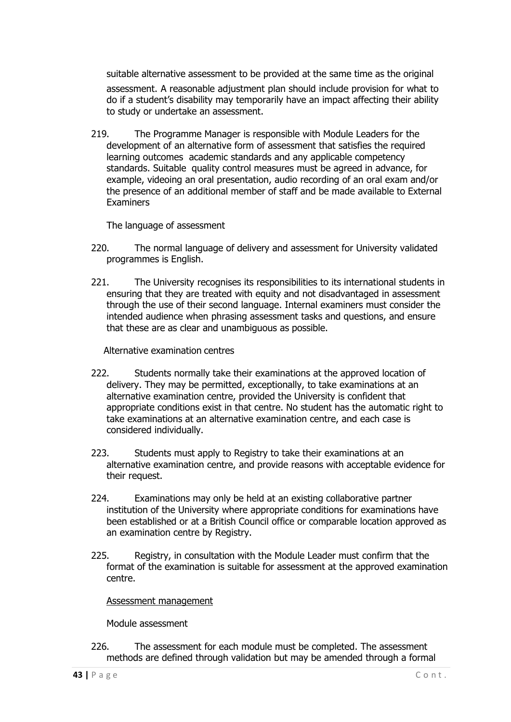suitable alternative assessment to be provided at the same time as the original assessment. A reasonable adjustment plan should include provision for what to do if a student's disability may temporarily have an impact affecting their ability to study or undertake an assessment.

219. The Programme Manager is responsible with Module Leaders for the development of an alternative form of assessment that satisfies the required learning outcomes academic standards and any applicable competency standards. Suitable quality control measures must be agreed in advance, for example, videoing an oral presentation, audio recording of an oral exam and/or the presence of an additional member of staff and be made available to External Examiners

The language of assessment

- <span id="page-42-0"></span>220. The normal language of delivery and assessment for University validated programmes is English.
- 221. The University recognises its responsibilities to its international students in ensuring that they are treated with equity and not disadvantaged in assessment through the use of their second language. Internal examiners must consider the intended audience when phrasing assessment tasks and questions, and ensure that these are as clear and unambiguous as possible.

Alternative examination centres

- <span id="page-42-1"></span>222. Students normally take their examinations at the approved location of delivery. They may be permitted, exceptionally, to take examinations at an alternative examination centre, provided the University is confident that appropriate conditions exist in that centre. No student has the automatic right to take examinations at an alternative examination centre, and each case is considered individually.
- 223. Students must apply to Registry to take their examinations at an alternative examination centre, and provide reasons with acceptable evidence for their request.
- 224. Examinations may only be held at an existing collaborative partner institution of the University where appropriate conditions for examinations have been established or at a British Council office or comparable location approved as an examination centre by Registry.
- 225. Registry, in consultation with the Module Leader must confirm that the format of the examination is suitable for assessment at the approved examination centre.

<span id="page-42-2"></span>Assessment management

Module assessment

<span id="page-42-3"></span>226. The assessment for each module must be completed. The assessment methods are defined through validation but may be amended through a formal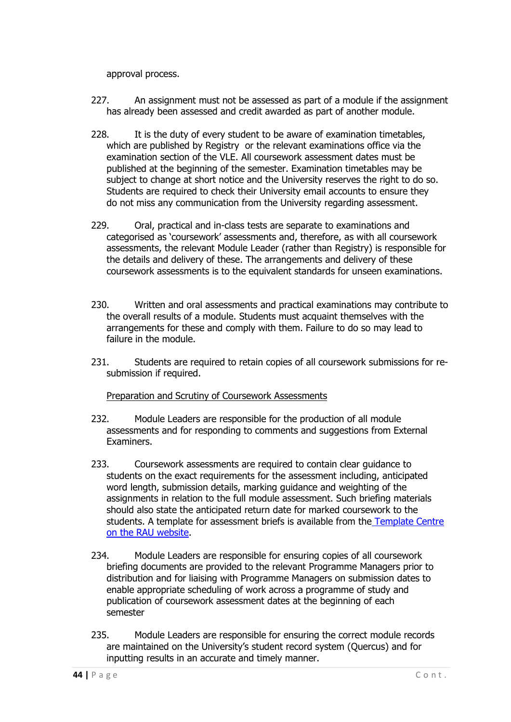approval process.

- 227. An assignment must not be assessed as part of a module if the assignment has already been assessed and credit awarded as part of another module.
- 228. It is the duty of every student to be aware of examination timetables, which are published by Registry or the relevant examinations office via the examination section of the VLE. All coursework assessment dates must be published at the beginning of the semester. Examination timetables may be subject to change at short notice and the University reserves the right to do so. Students are required to check their University email accounts to ensure they do not miss any communication from the University regarding assessment.
- 229. Oral, practical and in-class tests are separate to examinations and categorised as 'coursework' assessments and, therefore, as with all coursework assessments, the relevant Module Leader (rather than Registry) is responsible for the details and delivery of these. The arrangements and delivery of these coursework assessments is to the equivalent standards for unseen examinations.
- 230. Written and oral assessments and practical examinations may contribute to the overall results of a module. Students must acquaint themselves with the arrangements for these and comply with them. Failure to do so may lead to failure in the module.
- 231. Students are required to retain copies of all coursework submissions for resubmission if required.

#### Preparation and Scrutiny of Coursework Assessments

- <span id="page-43-0"></span>232. Module Leaders are responsible for the production of all module assessments and for responding to comments and suggestions from External Examiners.
- 233. Coursework assessments are required to contain clear guidance to students on the exact requirements for the assessment including, anticipated word length, submission details, marking guidance and weighting of the assignments in relation to the full module assessment. Such briefing materials should also state the anticipated return date for marked coursework to the students. A template for assessment briefs is available from the [Template Centre](https://www.rau.ac.uk/about/organisation/public-information/academic-information/academic-policies-and-procedures) on the [RAU website.](https://www.rau.ac.uk/about/organisation/public-information/academic-information/academic-policies-and-procedures)
- 234. Module Leaders are responsible for ensuring copies of all coursework briefing documents are provided to the relevant Programme Managers prior to distribution and for liaising with Programme Managers on submission dates to enable appropriate scheduling of work across a programme of study and publication of coursework assessment dates at the beginning of each semester
- 235. Module Leaders are responsible for ensuring the correct module records are maintained on the University's student record system (Quercus) and for inputting results in an accurate and timely manner.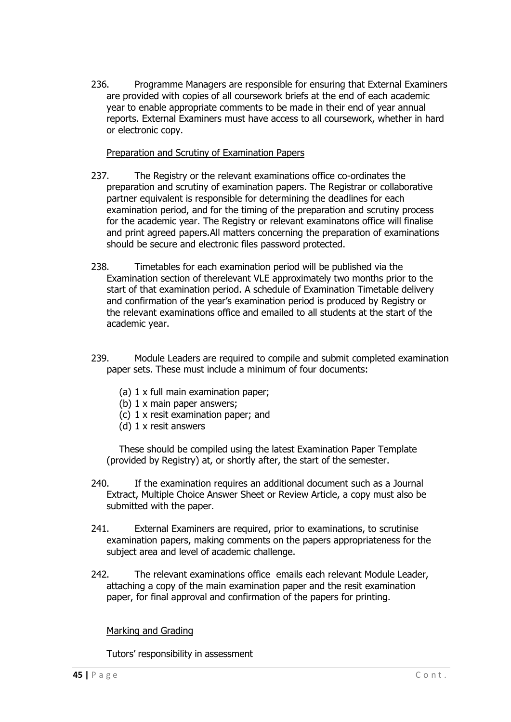236. Programme Managers are responsible for ensuring that External Examiners are provided with copies of all coursework briefs at the end of each academic year to enable appropriate comments to be made in their end of year annual reports. External Examiners must have access to all coursework, whether in hard or electronic copy.

#### Preparation and Scrutiny of Examination Papers

- <span id="page-44-0"></span>237. The Registry or the relevant examinations office co-ordinates the preparation and scrutiny of examination papers. The Registrar or collaborative partner equivalent is responsible for determining the deadlines for each examination period, and for the timing of the preparation and scrutiny process for the academic year. The Registry or relevant examinatons office will finalise and print agreed papers. All matters concerning the preparation of examinations should be secure and electronic files password protected.
- 238. Timetables for each examination period will be published via the Examination section of therelevant VLE approximately two months prior to the start of that examination period. A schedule of Examination Timetable delivery and confirmation of the year's examination period is produced by Registry or the relevant examinations office and emailed to all students at the start of the academic year.
- 239. Module Leaders are required to compile and submit completed examination paper sets. These must include a minimum of four documents:
	- (a) 1 x full main examination paper;
	- (b) 1 x main paper answers;
	- (c) 1 x resit examination paper; and
	- (d) 1 x resit answers

These should be compiled using the latest Examination Paper Template (provided by Registry) at, or shortly after, the start of the semester.

- 240. If the examination requires an additional document such as a Journal Extract, Multiple Choice Answer Sheet or Review Article, a copy must also be submitted with the paper.
- 241. External Examiners are required, prior to examinations, to scrutinise examination papers, making comments on the papers appropriateness for the subject area and level of academic challenge.
- 242. The relevant examinations office emails each relevant Module Leader, attaching a copy of the main examination paper and the resit examination paper, for final approval and confirmation of the papers for printing.

<span id="page-44-1"></span>Marking and Grading

<span id="page-44-2"></span>Tutors' responsibility in assessment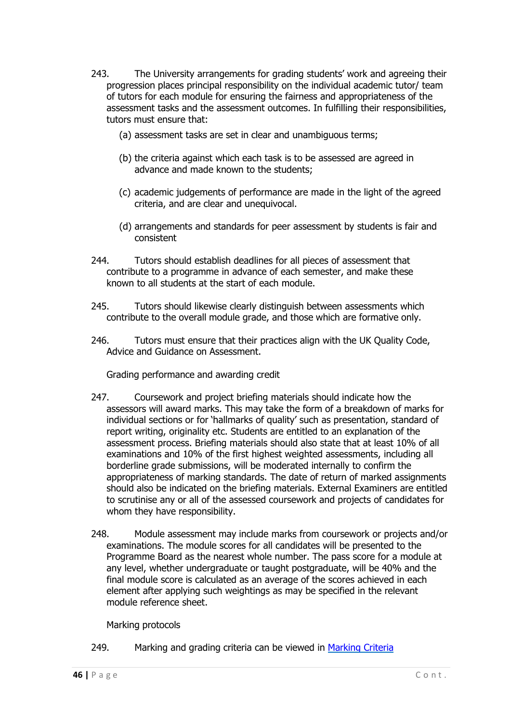- 243. The University arrangements for grading students' work and agreeing their progression places principal responsibility on the individual academic tutor/ team of tutors for each module for ensuring the fairness and appropriateness of the assessment tasks and the assessment outcomes. In fulfilling their responsibilities, tutors must ensure that:
	- (a) assessment tasks are set in clear and unambiguous terms;
	- (b) the criteria against which each task is to be assessed are agreed in advance and made known to the students;
	- (c) academic judgements of performance are made in the light of the agreed criteria, and are clear and unequivocal.
	- (d) arrangements and standards for peer assessment by students is fair and consistent
- 244. Tutors should establish deadlines for all pieces of assessment that contribute to a programme in advance of each semester, and make these known to all students at the start of each module.
- 245. Tutors should likewise clearly distinguish between assessments which contribute to the overall module grade, and those which are formative only.
- 246. Tutors must ensure that their practices align with the UK Quality Code, Advice and Guidance on Assessment.

Grading performance and awarding credit

- <span id="page-45-0"></span>247. Coursework and project briefing materials should indicate how the assessors will award marks. This may take the form of a breakdown of marks for individual sections or for 'hallmarks of quality' such as presentation, standard of report writing, originality etc. Students are entitled to an explanation of the assessment process. Briefing materials should also state that at least 10% of all examinations and 10% of the first highest weighted assessments, including all borderline grade submissions, will be moderated internally to confirm the appropriateness of marking standards. The date of return of marked assignments should also be indicated on the briefing materials. External Examiners are entitled to scrutinise any or all of the assessed coursework and projects of candidates for whom they have responsibility.
- 248. Module assessment may include marks from coursework or projects and/or examinations. The module scores for all candidates will be presented to the Programme Board as the nearest whole number. The pass score for a module at any level, whether undergraduate or taught postgraduate, will be 40% and the final module score is calculated as an average of the scores achieved in each element after applying such weightings as may be specified in the relevant module reference sheet.

Marking protocols

<span id="page-45-1"></span>249. Marking and grading criteria can be viewed in [Marking Criteria](https://www.rau.ac.uk/sites/files/rau/RAU%20Generic%20Marking%20Criteria.pdf)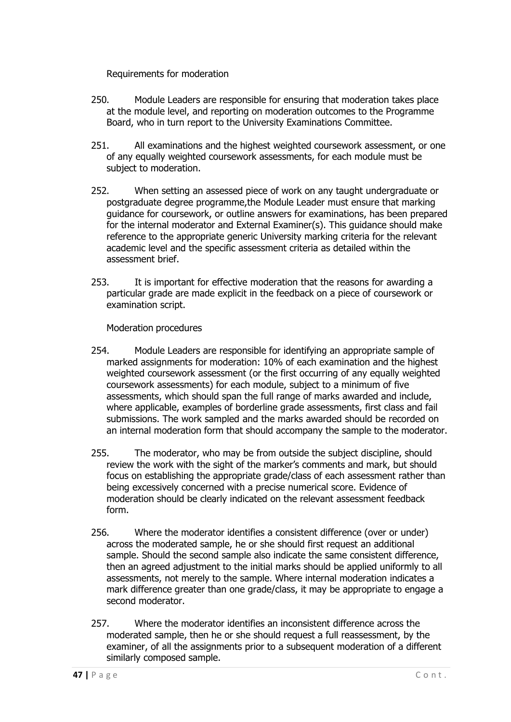Requirements for moderation

- 250. Module Leaders are responsible for ensuring that moderation takes place at the module level, and reporting on moderation outcomes to the Programme Board, who in turn report to the University Examinations Committee.
- 251. All examinations and the highest weighted coursework assessment, or one of any equally weighted coursework assessments, for each module must be subject to moderation.
- 252. When setting an assessed piece of work on any taught undergraduate or postgraduate degree programme,the Module Leader must ensure that marking guidance for coursework, or outline answers for examinations, has been prepared for the internal moderator and External Examiner(s). This guidance should make reference to the appropriate generic University marking criteria for the relevant academic level and the specific assessment criteria as detailed within the assessment brief.
- 253. It is important for effective moderation that the reasons for awarding a particular grade are made explicit in the feedback on a piece of coursework or examination script.

Moderation procedures

- <span id="page-46-0"></span>254. Module Leaders are responsible for identifying an appropriate sample of marked assignments for moderation: 10% of each examination and the highest weighted coursework assessment (or the first occurring of any equally weighted coursework assessments) for each module, subject to a minimum of five assessments, which should span the full range of marks awarded and include, where applicable, examples of borderline grade assessments, first class and fail submissions. The work sampled and the marks awarded should be recorded on an internal moderation form that should accompany the sample to the moderator.
- 255. The moderator, who may be from outside the subject discipline, should review the work with the sight of the marker's comments and mark, but should focus on establishing the appropriate grade/class of each assessment rather than being excessively concerned with a precise numerical score. Evidence of moderation should be clearly indicated on the relevant assessment feedback form.
- 256. Where the moderator identifies a consistent difference (over or under) across the moderated sample, he or she should first request an additional sample. Should the second sample also indicate the same consistent difference, then an agreed adjustment to the initial marks should be applied uniformly to all assessments, not merely to the sample. Where internal moderation indicates a mark difference greater than one grade/class, it may be appropriate to engage a second moderator.
- 257. Where the moderator identifies an inconsistent difference across the moderated sample, then he or she should request a full reassessment, by the examiner, of all the assignments prior to a subsequent moderation of a different similarly composed sample.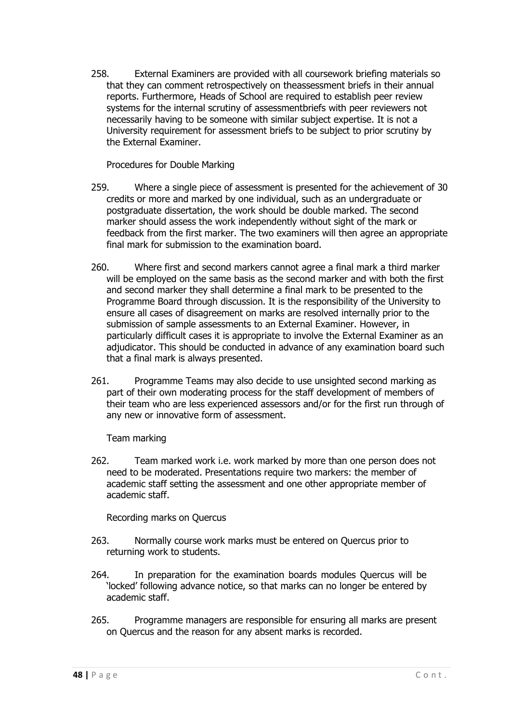258. External Examiners are provided with all coursework briefing materials so that they can comment retrospectively on theassessment briefs in their annual reports. Furthermore, Heads of School are required to establish peer review systems for the internal scrutiny of assessmentbriefs with peer reviewers not necessarily having to be someone with similar subject expertise. It is not a University requirement for assessment briefs to be subject to prior scrutiny by the External Examiner.

Procedures for Double Marking

- <span id="page-47-0"></span>259. Where a single piece of assessment is presented for the achievement of 30 credits or more and marked by one individual, such as an undergraduate or postgraduate dissertation, the work should be double marked. The second marker should assess the work independently without sight of the mark or feedback from the first marker. The two examiners will then agree an appropriate final mark for submission to the examination board.
- 260. Where first and second markers cannot agree a final mark a third marker will be employed on the same basis as the second marker and with both the first and second marker they shall determine a final mark to be presented to the Programme Board through discussion. It is the responsibility of the University to ensure all cases of disagreement on marks are resolved internally prior to the submission of sample assessments to an External Examiner. However, in particularly difficult cases it is appropriate to involve the External Examiner as an adjudicator. This should be conducted in advance of any examination board such that a final mark is always presented.
- 261. Programme Teams may also decide to use unsighted second marking as part of their own moderating process for the staff development of members of their team who are less experienced assessors and/or for the first run through of any new or innovative form of assessment.

Team marking

<span id="page-47-1"></span>262. Team marked work i.e. work marked by more than one person does not need to be moderated. Presentations require two markers: the member of academic staff setting the assessment and one other appropriate member of academic staff.

Recording marks on Quercus

- <span id="page-47-2"></span>263. Normally course work marks must be entered on Quercus prior to returning work to students.
- 264. In preparation for the examination boards modules Quercus will be 'locked' following advance notice, so that marks can no longer be entered by academic staff.
- 265. Programme managers are responsible for ensuring all marks are present on Quercus and the reason for any absent marks is recorded.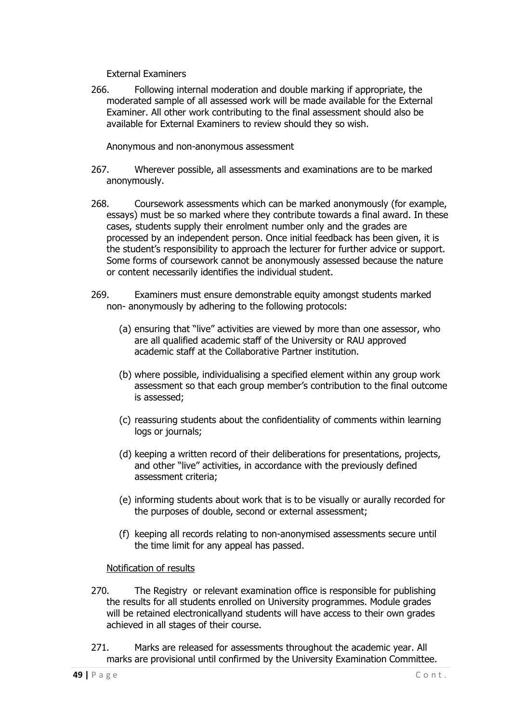External Examiners

<span id="page-48-0"></span>266. Following internal moderation and double marking if appropriate, the moderated sample of all assessed work will be made available for the External Examiner. All other work contributing to the final assessment should also be available for External Examiners to review should they so wish.

Anonymous and non-anonymous assessment

- <span id="page-48-1"></span>267. Wherever possible, all assessments and examinations are to be marked anonymously.
- 268. Coursework assessments which can be marked anonymously (for example, essays) must be so marked where they contribute towards a final award. In these cases, students supply their enrolment number only and the grades are processed by an independent person. Once initial feedback has been given, it is the student's responsibility to approach the lecturer for further advice or support. Some forms of coursework cannot be anonymously assessed because the nature or content necessarily identifies the individual student.
- 269. Examiners must ensure demonstrable equity amongst students marked non- anonymously by adhering to the following protocols:
	- (a) ensuring that "live" activities are viewed by more than one assessor, who are all qualified academic staff of the University or RAU approved academic staff at the Collaborative Partner institution.
	- (b) where possible, individualising a specified element within any group work assessment so that each group member's contribution to the final outcome is assessed;
	- (c) reassuring students about the confidentiality of comments within learning logs or journals;
	- (d) keeping a written record of their deliberations for presentations, projects, and other "live" activities, in accordance with the previously defined assessment criteria;
	- (e) informing students about work that is to be visually or aurally recorded for the purposes of double, second or external assessment;
	- (f) keeping all records relating to non-anonymised assessments secure until the time limit for any appeal has passed.

#### Notification of results

- <span id="page-48-2"></span>270. The Registry or relevant examination office is responsible for publishing the results for all students enrolled on University programmes. Module grades will be retained electronicallyand students will have access to their own grades achieved in all stages of their course.
- 271. Marks are released for assessments throughout the academic year. All marks are provisional until confirmed by the University Examination Committee.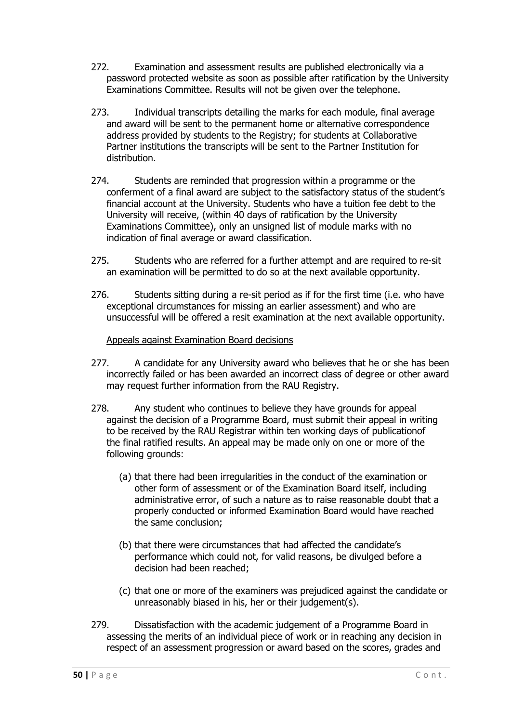- 272. Examination and assessment results are published electronically via a password protected website as soon as possible after ratification by the University Examinations Committee. Results will not be given over the telephone.
- 273. Individual transcripts detailing the marks for each module, final average and award will be sent to the permanent home or alternative correspondence address provided by students to the Registry; for students at Collaborative Partner institutions the transcripts will be sent to the Partner Institution for distribution.
- 274. Students are reminded that progression within a programme or the conferment of a final award are subject to the satisfactory status of the student's financial account at the University. Students who have a tuition fee debt to the University will receive, (within 40 days of ratification by the University Examinations Committee), only an unsigned list of module marks with no indication of final average or award classification.
- 275. Students who are referred for a further attempt and are required to re-sit an examination will be permitted to do so at the next available opportunity.
- 276. Students sitting during a re-sit period as if for the first time (i.e. who have exceptional circumstances for missing an earlier assessment) and who are unsuccessful will be offered a resit examination at the next available opportunity.

#### Appeals against Examination Board decisions

- <span id="page-49-0"></span>277. A candidate for any University award who believes that he or she has been incorrectly failed or has been awarded an incorrect class of degree or other award may request further information from the RAU Registry.
- 278. Any student who continues to believe they have grounds for appeal against the decision of a Programme Board, must submit their appeal in writing to be received by the RAU Registrar within ten working days of publicationof the final ratified results. An appeal may be made only on one or more of the following grounds:
	- (a) that there had been irregularities in the conduct of the examination or other form of assessment or of the Examination Board itself, including administrative error, of such a nature as to raise reasonable doubt that a properly conducted or informed Examination Board would have reached the same conclusion;
	- (b) that there were circumstances that had affected the candidate's performance which could not, for valid reasons, be divulged before a decision had been reached;
	- (c) that one or more of the examiners was prejudiced against the candidate or unreasonably biased in his, her or their judgement(s).
- 279. Dissatisfaction with the academic judgement of a Programme Board in assessing the merits of an individual piece of work or in reaching any decision in respect of an assessment progression or award based on the scores, grades and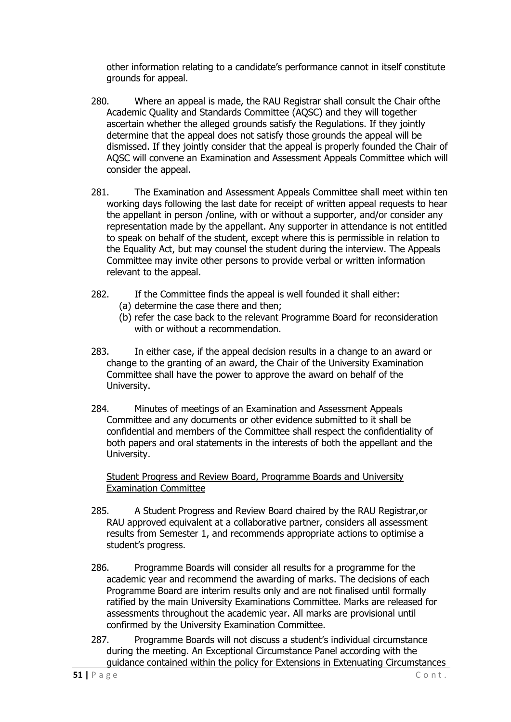other information relating to a candidate's performance cannot in itself constitute grounds for appeal.

- 280. Where an appeal is made, the RAU Registrar shall consult the Chair ofthe Academic Quality and Standards Committee (AQSC) and they will together ascertain whether the alleged grounds satisfy the Regulations. If they jointly determine that the appeal does not satisfy those grounds the appeal will be dismissed. If they jointly consider that the appeal is properly founded the Chair of AQSC will convene an Examination and Assessment Appeals Committee which will consider the appeal.
- 281. The Examination and Assessment Appeals Committee shall meet within ten working days following the last date for receipt of written appeal requests to hear the appellant in person /online, with or without a supporter, and/or consider any representation made by the appellant. Any supporter in attendance is not entitled to speak on behalf of the student, except where this is permissible in relation to the Equality Act, but may counsel the student during the interview. The Appeals Committee may invite other persons to provide verbal or written information relevant to the appeal.
- 282. If the Committee finds the appeal is well founded it shall either: (a) determine the case there and then;
	- (b) refer the case back to the relevant Programme Board for reconsideration with or without a recommendation.
- 283. In either case, if the appeal decision results in a change to an award or change to the granting of an award, the Chair of the University Examination Committee shall have the power to approve the award on behalf of the University.
- 284. Minutes of meetings of an Examination and Assessment Appeals Committee and any documents or other evidence submitted to it shall be confidential and members of the Committee shall respect the confidentiality of both papers and oral statements in the interests of both the appellant and the University.

Student Progress and Review Board, Programme Boards and University Examination Committee

- <span id="page-50-0"></span>285. A Student Progress and Review Board chaired by the RAU Registrar,or RAU approved equivalent at a collaborative partner, considers all assessment results from Semester 1, and recommends appropriate actions to optimise a student's progress.
- 286. Programme Boards will consider all results for a programme for the academic year and recommend the awarding of marks. The decisions of each Programme Board are interim results only and are not finalised until formally ratified by the main University Examinations Committee. Marks are released for assessments throughout the academic year. All marks are provisional until confirmed by the University Examination Committee.
- <span id="page-50-1"></span>287. Programme Boards will not discuss a student's individual circumstance during the meeting. An Exceptional Circumstance Panel according with the guidance contained within the policy for Extensions in Extenuating Circumstances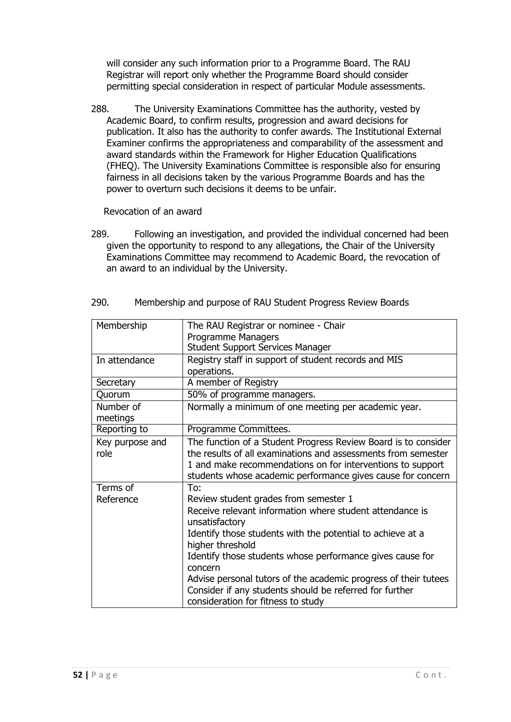will consider any such information prior to a Programme Board. The RAU Registrar will report only whether the Programme Board should consider permitting special consideration in respect of particular Module assessments.

288. The University Examinations Committee has the authority, vested by Academic Board, to confirm results, progression and award decisions for publication. It also has the authority to confer awards. The Institutional External Examiner confirms the appropriateness and comparability of the assessment and award standards within the Framework for Higher Education Qualifications (FHEQ). The University Examinations Committee is responsible also for ensuring fairness in all decisions taken by the various Programme Boards and has the power to overturn such decisions it deems to be unfair.

Revocation of an award

<span id="page-51-0"></span>289. Following an investigation, and provided the individual concerned had been given the opportunity to respond to any allegations, the Chair of the University Examinations Committee may recommend to Academic Board, the revocation of an award to an individual by the University.

| Membership            | The RAU Registrar or nominee - Chair                                                                                                                             |
|-----------------------|------------------------------------------------------------------------------------------------------------------------------------------------------------------|
|                       | Programme Managers                                                                                                                                               |
|                       | <b>Student Support Services Manager</b>                                                                                                                          |
| In attendance         | Registry staff in support of student records and MIS                                                                                                             |
|                       | operations.                                                                                                                                                      |
| Secretary             | A member of Registry                                                                                                                                             |
| Quorum                | 50% of programme managers.                                                                                                                                       |
| Number of<br>meetings | Normally a minimum of one meeting per academic year.                                                                                                             |
| Reporting to          | Programme Committees.                                                                                                                                            |
| Key purpose and       | The function of a Student Progress Review Board is to consider                                                                                                   |
| role                  | the results of all examinations and assessments from semester                                                                                                    |
|                       | 1 and make recommendations on for interventions to support                                                                                                       |
|                       | students whose academic performance gives cause for concern                                                                                                      |
| Terms of              | To:                                                                                                                                                              |
| Reference             | Review student grades from semester 1                                                                                                                            |
|                       | Receive relevant information where student attendance is<br>unsatisfactory                                                                                       |
|                       | Identify those students with the potential to achieve at a<br>higher threshold                                                                                   |
|                       | Identify those students whose performance gives cause for<br>concern                                                                                             |
|                       | Advise personal tutors of the academic progress of their tutees<br>Consider if any students should be referred for further<br>consideration for fitness to study |

<span id="page-51-1"></span>290. Membership and purpose of RAU Student Progress Review Boards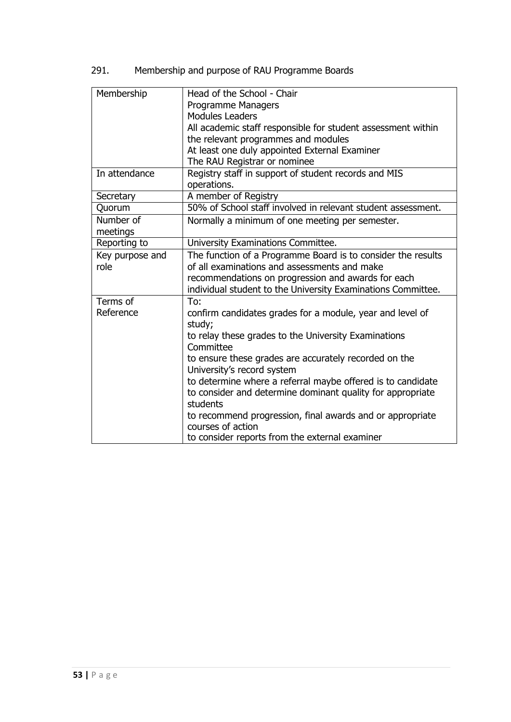291. Membership and purpose of RAU Programme Boards

| Membership            | Head of the School - Chair<br>Programme Managers<br><b>Modules Leaders</b>                          |
|-----------------------|-----------------------------------------------------------------------------------------------------|
|                       | All academic staff responsible for student assessment within<br>the relevant programmes and modules |
|                       | At least one duly appointed External Examiner                                                       |
|                       | The RAU Registrar or nominee                                                                        |
| In attendance         | Registry staff in support of student records and MIS<br>operations.                                 |
| Secretary             | A member of Registry                                                                                |
| Quorum                | 50% of School staff involved in relevant student assessment.                                        |
| Number of<br>meetings | Normally a minimum of one meeting per semester.                                                     |
| Reporting to          | University Examinations Committee.                                                                  |
| Key purpose and       | The function of a Programme Board is to consider the results                                        |
| role                  | of all examinations and assessments and make                                                        |
|                       | recommendations on progression and awards for each                                                  |
|                       | individual student to the University Examinations Committee.                                        |
| Terms of              | To:                                                                                                 |
| Reference             | confirm candidates grades for a module, year and level of<br>study;                                 |
|                       | to relay these grades to the University Examinations<br>Committee                                   |
|                       | to ensure these grades are accurately recorded on the                                               |
|                       | University's record system                                                                          |
|                       | to determine where a referral maybe offered is to candidate                                         |
|                       | to consider and determine dominant quality for appropriate<br>students                              |
|                       | to recommend progression, final awards and or appropriate<br>courses of action                      |
|                       | to consider reports from the external examiner                                                      |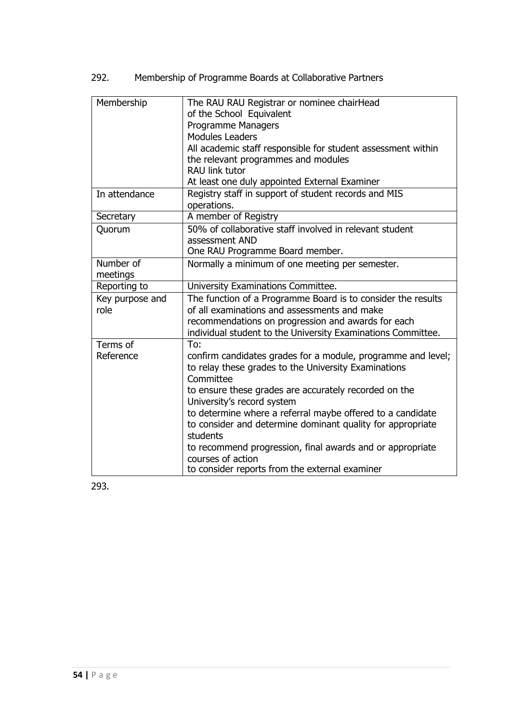292. Membership of Programme Boards at Collaborative Partners

| Membership      | The RAU RAU Registrar or nominee chairHead<br>of the School Equivalent |
|-----------------|------------------------------------------------------------------------|
|                 |                                                                        |
|                 | <b>Programme Managers</b>                                              |
|                 | <b>Modules Leaders</b>                                                 |
|                 | All academic staff responsible for student assessment within           |
|                 | the relevant programmes and modules                                    |
|                 | <b>RAU link tutor</b>                                                  |
|                 | At least one duly appointed External Examiner                          |
| In attendance   | Registry staff in support of student records and MIS                   |
|                 | operations.                                                            |
| Secretary       | A member of Registry                                                   |
| Quorum          | 50% of collaborative staff involved in relevant student                |
|                 | assessment AND                                                         |
|                 | One RAU Programme Board member.                                        |
| Number of       | Normally a minimum of one meeting per semester.                        |
| meetings        |                                                                        |
| Reporting to    | University Examinations Committee.                                     |
| Key purpose and | The function of a Programme Board is to consider the results           |
| role            | of all examinations and assessments and make                           |
|                 | recommendations on progression and awards for each                     |
|                 | individual student to the University Examinations Committee.           |
| Terms of        | To:                                                                    |
| Reference       | confirm candidates grades for a module, programme and level;           |
|                 | to relay these grades to the University Examinations                   |
|                 | Committee                                                              |
|                 | to ensure these grades are accurately recorded on the                  |
|                 | University's record system                                             |
|                 | to determine where a referral maybe offered to a candidate             |
|                 | to consider and determine dominant quality for appropriate             |
|                 | students                                                               |
|                 | to recommend progression, final awards and or appropriate              |
|                 | courses of action                                                      |
|                 | to consider reports from the external examiner                         |

293.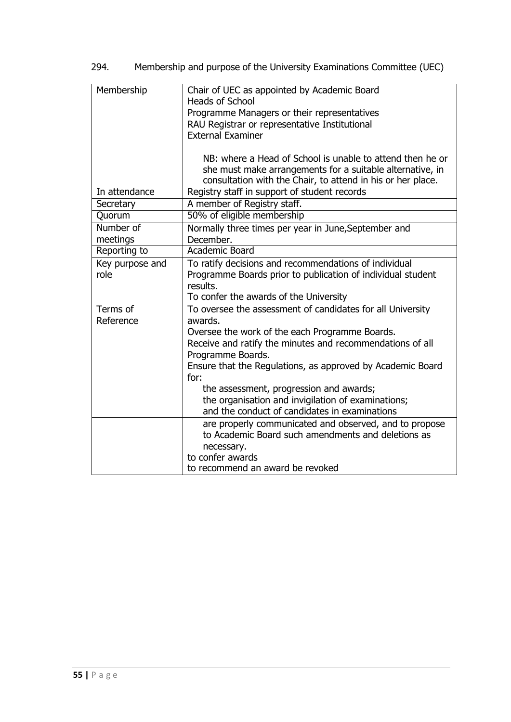| Membership      | Chair of UEC as appointed by Academic Board<br>Heads of School                 |
|-----------------|--------------------------------------------------------------------------------|
|                 | Programme Managers or their representatives                                    |
|                 | RAU Registrar or representative Institutional                                  |
|                 | <b>External Examiner</b>                                                       |
|                 |                                                                                |
|                 | NB: where a Head of School is unable to attend then he or                      |
|                 | she must make arrangements for a suitable alternative, in                      |
|                 | consultation with the Chair, to attend in his or her place.                    |
| In attendance   | Registry staff in support of student records                                   |
| Secretary       | A member of Registry staff.                                                    |
| Quorum          | 50% of eligible membership                                                     |
| Number of       | Normally three times per year in June, September and                           |
| meetings        | December.                                                                      |
| Reporting to    | Academic Board                                                                 |
| Key purpose and | To ratify decisions and recommendations of individual                          |
| role            | Programme Boards prior to publication of individual student                    |
|                 | results.                                                                       |
|                 | To confer the awards of the University                                         |
| Terms of        | To oversee the assessment of candidates for all University                     |
| Reference       | awards.<br>Oversee the work of the each Programme Boards.                      |
|                 |                                                                                |
|                 | Receive and ratify the minutes and recommendations of all<br>Programme Boards. |
|                 | Ensure that the Regulations, as approved by Academic Board                     |
|                 | for:                                                                           |
|                 | the assessment, progression and awards;                                        |
|                 | the organisation and invigilation of examinations;                             |
|                 | and the conduct of candidates in examinations                                  |
|                 | are properly communicated and observed, and to propose                         |
|                 | to Academic Board such amendments and deletions as                             |
|                 | necessary.                                                                     |
|                 | to confer awards                                                               |
|                 | to recommend an award be revoked                                               |

294. Membership and purpose of the University Examinations Committee (UEC)